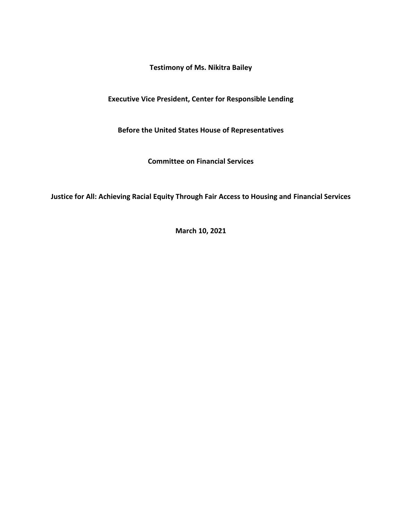**Testimony of Ms. Nikitra Bailey**

**Executive Vice President, Center for Responsible Lending**

**Before the United States House of Representatives**

**Committee on Financial Services**

**Justice for All: Achieving Racial Equity Through Fair Access to Housing and Financial Services**

**March 10, 2021**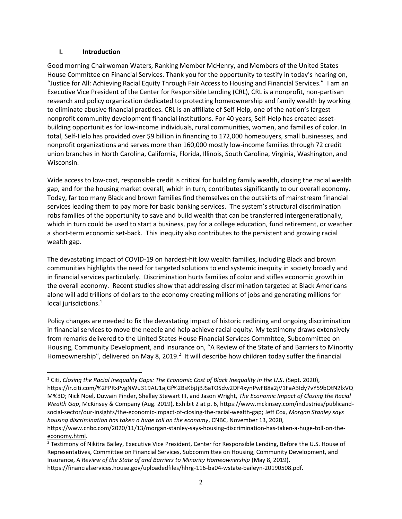#### **I. Introduction**

Good morning Chairwoman Waters, Ranking Member McHenry, and Members of the United States House Committee on Financial Services. Thank you for the opportunity to testify in today's hearing on, "Justice for All: Achieving Racial Equity Through Fair Access to Housing and Financial Services." I am an Executive Vice President of the Center for Responsible Lending (CRL), CRL is a nonprofit, non-partisan research and policy organization dedicated to protecting homeownership and family wealth by working to eliminate abusive financial practices. CRL is an affiliate of Self-Help, one of the nation's largest nonprofit community development financial institutions. For 40 years, Self-Help has created assetbuilding opportunities for low-income individuals, rural communities, women, and families of color. In total, Self-Help has provided over \$9 billion in financing to 172,000 homebuyers, small businesses, and nonprofit organizations and serves more than 160,000 mostly low-income families through 72 credit union branches in North Carolina, California, Florida, Illinois, South Carolina, Virginia, Washington, and Wisconsin.

Wide access to low-cost, responsible credit is critical for building family wealth, closing the racial wealth gap, and for the housing market overall, which in turn, contributes significantly to our overall economy. Today, far too many Black and brown families find themselves on the outskirts of mainstream financial services leading them to pay more for basic banking services. The system's structural discrimination robs families of the opportunity to save and build wealth that can be transferred intergenerationally, which in turn could be used to start a business, pay for a college education, fund retirement, or weather a short-term economic set-back. This inequity also contributes to the persistent and growing racial wealth gap.

The devastating impact of COVID-19 on hardest-hit low wealth families, including Black and brown communities highlights the need for targeted solutions to end systemic inequity in society broadly and in financial services particularly. Discrimination hurts families of color and stifles economic growth in the overall economy. Recent studies show that addressing discrimination targeted at Black Americans alone will add trillions of dollars to the economy creating millions of jobs and generating millions for local jurisdictions.<sup>1</sup>

Policy changes are needed to fix the devastating impact of historic redlining and ongoing discrimination in financial services to move the needle and help achieve racial equity. My testimony draws extensively from remarks delivered to the United States House Financial Services Committee, Subcommittee on Housing, Community Development, and Insurance on, "A Review of the State of and Barriers to Minority Homeownership", delivered on May 8, 2019.<sup>2</sup> It will describe how children today suffer the financial

<sup>1</sup> Citi, *Closing the Racial Inequality Gaps: The Economic Cost of Black Inequality in the U.S*. (Sept. 2020), https://ir.citi.com/%2FPRxPvgNWu319AU1ajGf%2BsKbjJjBJSaTOSdw2DF4xynPwFB8a2jV1FaA3Idy7vY59bOtN2lxVQ M%3D; Nick Noel, Duwain Pinder, Shelley Stewart III, and Jason Wright, *The Economic Impact of Closing the Racial Wealth Gap*, McKinsey & Company (Aug. 2019), Exhibit 2 at p. 6, [https://www.mckinsey.com/industries/publicand](https://www.mckinsey.com/industries/publicand-social-sector/our-insights/the-economic-impact-of-closing-the-racial-wealth-gap)[social-sector/our-insights/the-economic-impact-of-closing-the-racial-wealth-gap;](https://www.mckinsey.com/industries/publicand-social-sector/our-insights/the-economic-impact-of-closing-the-racial-wealth-gap) Jeff Cox, *Morgan Stanley says housing discrimination has taken a huge toll on the economy*, CNBC, November 13, 2020, [https://www.cnbc.com/2020/11/13/morgan-stanley-says-housing-discrimination-has-taken-a-huge-toll-on-the](https://www.cnbc.com/2020/11/13/morgan-stanley-says-housing-discrimination-has-taken-a-huge-toll-on-the-economy.html)[economy.html.](https://www.cnbc.com/2020/11/13/morgan-stanley-says-housing-discrimination-has-taken-a-huge-toll-on-the-economy.html)

<sup>&</sup>lt;sup>2</sup> Testimony of Nikitra Bailey, Executive Vice President, Center for Responsible Lending, Before the U.S. House of Representatives, Committee on Financial Services, Subcommittee on Housing, Community Development, and Insurance, A *Review of the State of and Barriers to Minority Homeownership* (May 8, 2019), [https://financialservices.house.gov/uploadedfiles/hhrg-116-ba04-wstate-baileyn-20190508.pdf.](https://financialservices.house.gov/uploadedfiles/hhrg-116-ba04-wstate-baileyn-20190508.pdf)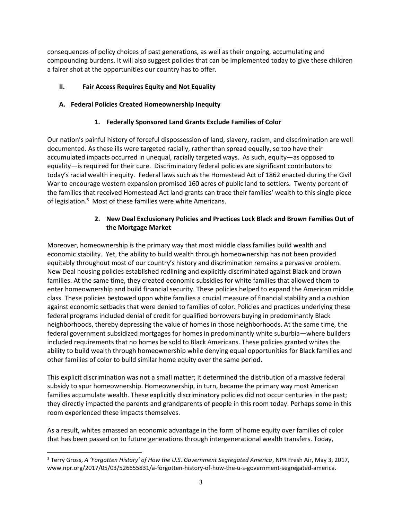consequences of policy choices of past generations, as well as their ongoing, accumulating and compounding burdens. It will also suggest policies that can be implemented today to give these children a fairer shot at the opportunities our country has to offer.

# **II. Fair Access Requires Equity and Not Equality**

# **A. Federal Policies Created Homeownership Inequity**

# **1. Federally Sponsored Land Grants Exclude Families of Color**

Our nation's painful history of forceful dispossession of land, slavery, racism, and discrimination are well documented. As these ills were targeted racially, rather than spread equally, so too have their accumulated impacts occurred in unequal, racially targeted ways. As such, equity—as opposed to equality—is required for their cure. Discriminatory federal policies are significant contributors to today's racial wealth inequity. Federal laws such as the Homestead Act of 1862 enacted during the Civil War to encourage western expansion promised 160 acres of public land to settlers. Twenty percent of the families that received Homestead Act land grants can trace their families' wealth to this single piece of legislation.<sup>3</sup> Most of these families were white Americans.

# **2. New Deal Exclusionary Policies and Practices Lock Black and Brown Families Out of the Mortgage Market**

Moreover, homeownership is the primary way that most middle class families build wealth and economic stability. Yet, the ability to build wealth through homeownership has not been provided equitably throughout most of our country's history and discrimination remains a pervasive problem. New Deal housing policies established redlining and explicitly discriminated against Black and brown families. At the same time, they created economic subsidies for white families that allowed them to enter homeownership and build financial security. These policies helped to expand the American middle class. These policies bestowed upon white families a crucial measure of financial stability and a cushion against economic setbacks that were denied to families of color. Policies and practices underlying these federal programs included denial of credit for qualified borrowers buying in predominantly Black neighborhoods, thereby depressing the value of homes in those neighborhoods. At the same time, the federal government subsidized mortgages for homes in predominantly white suburbia—where builders included requirements that no homes be sold to Black Americans. These policies granted whites the ability to build wealth through homeownership while denying equal opportunities for Black families and other families of color to build similar home equity over the same period.

This explicit discrimination was not a small matter; it determined the distribution of a massive federal subsidy to spur homeownership. Homeownership, in turn, became the primary way most American families accumulate wealth. These explicitly discriminatory policies did not occur centuries in the past; they directly impacted the parents and grandparents of people in this room today. Perhaps some in this room experienced these impacts themselves.

As a result, whites amassed an economic advantage in the form of home equity over families of color that has been passed on to future generations through intergenerational wealth transfers. Today,

<sup>3</sup> Terry Gross, *A 'Forgotten History' of How the U.S. Government Segregated America*, NPR Fresh Air, May 3, 2017, [www.npr.org/2017/05/03/526655831/a-forgotten-history-of-how-the-u-s-government-segregated-america.](http://www.npr.org/2017/05/03/526655831/a-forgotten-history-of-how-the-u-s-government-segregated-america)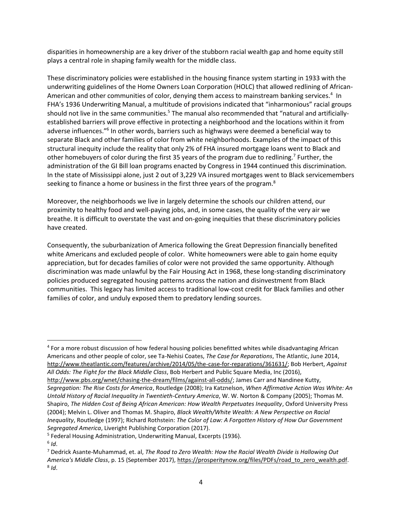disparities in homeownership are a key driver of the stubborn racial wealth gap and home equity still plays a central role in shaping family wealth for the middle class.

These discriminatory policies were established in the housing finance system starting in 1933 with the underwriting guidelines of the Home Owners Loan Corporation (HOLC) that allowed redlining of African-American and other communities of color, denying them access to mainstream banking services.<sup>4</sup> In FHA's 1936 Underwriting Manual, a multitude of provisions indicated that "inharmonious" racial groups should not live in the same communities.<sup>5</sup> The manual also recommended that "natural and artificiallyestablished barriers will prove effective in protecting a neighborhood and the locations within it from adverse influences."<sup>6</sup> In other words, barriers such as highways were deemed a beneficial way to separate Black and other families of color from white neighborhoods. Examples of the impact of this structural inequity include the reality that only 2% of FHA insured mortgage loans went to Black and other homebuyers of color during the first 35 years of the program due to redlining.<sup>7</sup> Further, the administration of the GI Bill loan programs enacted by Congress in 1944 continued this discrimination. In the state of Mississippi alone, just 2 out of 3,229 VA insured mortgages went to Black servicemembers seeking to finance a home or business in the first three years of the program.<sup>8</sup>

Moreover, the neighborhoods we live in largely determine the schools our children attend, our proximity to healthy food and well-paying jobs, and, in some cases, the quality of the very air we breathe. It is difficult to overstate the vast and on-going inequities that these discriminatory policies have created.

Consequently, the suburbanization of America following the Great Depression financially benefited white Americans and excluded people of color. White homeowners were able to gain home equity appreciation, but for decades families of color were not provided the same opportunity. Although discrimination was made unlawful by the Fair Housing Act in 1968, these long-standing discriminatory policies produced segregated housing patterns across the nation and disinvestment from Black communities. This legacy has limited access to traditional low-cost credit for Black families and other families of color, and unduly exposed them to predatory lending sources.

<sup>4</sup> For a more robust discussion of how federal housing policies benefitted whites while disadvantaging African Americans and other people of color, see Ta-Nehisi Coates, *The Case for Reparations*, The Atlantic, June 2014, [http://www.theatlantic.com/features/archive/2014/05/the-case-for-reparations/361631/;](http://www.theatlantic.com/features/archive/2014/05/the-case-for-reparations/361631/) Bob Herbert, *Against All Odds: The Fight for the Black Middle Class*, Bob Herbert and Public Square Media, Inc (2016), [http://www.pbs.org/wnet/chasing-the-dream/films/against-all-odds/;](http://www.pbs.org/wnet/chasing-the-dream/films/against-all-odds/) James Carr and Nandinee Kutty, *Segregation: The Rise Costs for America*, Routledge (2008); Ira Katznelson, *When Affirmative Action Was White: An Untold History of Racial Inequality in Twentieth-Century America*, W. W. Norton & Company (2005); Thomas M. Shapiro, *The Hidden Cost of Being African American: How Wealth Perpetuates Inequality*, Oxford University Press (2004); Melvin L. Oliver and Thomas M. Shapiro, *Black Wealth/White Wealth: A New Perspective on Racial Inequality*, Routledge (1997); Richard Rothstein: *The Color of Law: A Forgotten History of How Our Government Segregated America*, Liveright Publishing Corporation (2017).

<sup>5</sup> Federal Housing Administration, Underwriting Manual, Excerpts (1936).

<sup>6</sup> *Id*.

<sup>7</sup> Dedrick Asante-Muhammad, et. al, *The Road to Zero Wealth: How the Racial Wealth Divide is Hallowing Out America's Middle Class*, p. 15 (September 2017), [https://prosperitynow.org/files/PDFs/road\\_to\\_zero\\_wealth.pdf.](https://prosperitynow.org/files/PDFs/road_to_zero_wealth.pdf) 8 *Id*.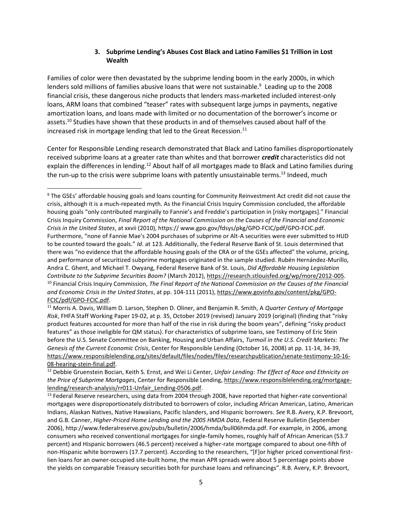### **3. Subprime Lending's Abuses Cost Black and Latino Families \$1 Trillion in Lost Wealth**

Families of color were then devastated by the subprime lending boom in the early 2000s, in which lenders sold millions of families abusive loans that were not sustainable.<sup>9</sup> Leading up to the 2008 financial crisis, these dangerous niche products that lenders mass-marketed included interest-only loans, ARM loans that combined "teaser" rates with subsequent large jumps in payments, negative amortization loans, and loans made with limited or no documentation of the borrower's income or assets.<sup>10</sup> Studies have shown that these products in and of themselves caused about half of the increased risk in mortgage lending that led to the Great Recession.<sup>11</sup>

Center for Responsible Lending research demonstrated that Black and Latino families disproportionately received subprime loans at a greater rate than whites and that borrower *credit* characteristics did not explain the differences in lending.<sup>12</sup> About half of all mortgages made to Black and Latino families during the run-up to the crisis were subprime loans with patently unsustainable terms.<sup>13</sup> Indeed, much

<sup>9</sup> The GSEs' affordable housing goals and loans counting for Community Reinvestment Act credit did not cause the crisis, although it is a much-repeated myth. As the Financial Crisis Inquiry Commission concluded, the affordable housing goals "only contributed marginally to Fannie's and Freddie's participation in [risky mortgages]." Financial Crisis Inquiry Commission, *Final Report of the National Commission on the Causes of the Financial and Economic Crisis in the United States*, at xxvii (2010), https:// www.gpo.gov/fdsys/pkg/GPO-FCIC/pdf/GPO-FCIC.pdf. Furthermore, "none of Fannie Mae's 2004 purchases of subprime or Alt-A securities were ever submitted to HUD to be counted toward the goals." *Id*. at 123. Additionally, the Federal Reserve Bank of St. Louis determined that there was "no evidence that the affordable housing goals of the CRA or of the GSEs affected" the volume, pricing, and performance of securitized subprime mortgages originated in the sample studied. Rubén Hernández-Murillo, Andra C. Ghent, and Michael T. Owyang, Federal Reserve Bank of St. Louis, *Did Affordable Housing Legislation Contribute to the Subprime Securities Boom?* (March 2012), [https://research.stlouisfed.org/wp/more/2012-005.](https://research.stlouisfed.org/wp/more/2012-005) <sup>10</sup> Financial Crisis Inquiry Commission, *The Final Report of the National Commission on the Causes of the Financial and Economic Crisis in the United States*, at pp. 104-111 (2011), [https://www.govinfo.gov/content/pkg/GPO-](https://www.govinfo.gov/content/pkg/GPO-FCIC/pdf/GPO-FCIC.pdf)[FCIC/pdf/GPO-FCIC.pdf.](https://www.govinfo.gov/content/pkg/GPO-FCIC/pdf/GPO-FCIC.pdf)

<sup>11</sup> Morris A. Davis, William D. Larson, Stephen D. Oliner, and Benjamin R. Smith, A *Quarter Century of Mortgage Risk*, FHFA Staff Working Paper 19-02, at p. 35, October 2019 (revised) January 2019 (original) (finding that "risky product features accounted for more than half of the rise in risk during the boom years", defining "risky product features" as those ineligible for QM status). For characteristics of subprime loans, see Testimony of Eric Stein before the U.S. Senate Committee on Banking, Housing and Urban Affairs, *Turmoil in the U.S. Credit Markets: The Genesis of the Current Economic Crisis*, Center for Responsible Lending (October 16, 2008) at pp. 11-14, 34-39, [https://www.responsiblelending.org/sites/default/files/nodes/files/researchpublication/senate-testimony-10-16-](https://www.responsiblelending.org/sites/default/files/nodes/files/researchpublication/senate-testimony-10-16-08-hearing-stein-final.pdf) [08-hearing-stein-final.pdf.](https://www.responsiblelending.org/sites/default/files/nodes/files/researchpublication/senate-testimony-10-16-08-hearing-stein-final.pdf)

<sup>12</sup> Debbie Gruenstein Bocian, Keith S. Ernst, and Wei Li Center, *Unfair Lending: The Effect of Race and Ethnicity on the Price of Subprime Mortgages*, Center for Responsible Lending[, https://www.responsiblelending.org/mortgage](https://www.responsiblelending.org/mortgage-lending/research-analysis/rr011-Unfair_Lending-0506.pdf)[lending/research-analysis/rr011-Unfair\\_Lending-0506.pdf.](https://www.responsiblelending.org/mortgage-lending/research-analysis/rr011-Unfair_Lending-0506.pdf)

<sup>&</sup>lt;sup>13</sup> Federal Reserve researchers, using data from 2004 through 2008, have reported that higher-rate conventional mortgages were disproportionately distributed to borrowers of color, including African American, Latino, American Indians, Alaskan Natives, Native Hawaiians, Pacific Islanders, and Hispanic borrowers. *See* R.B. Avery, K.P. Brevoort, and G.B. Canner, *Higher-Priced Home Lending and the 2005 HMDA Data*, Federal Reserve Bulletin (September 2006), http://www.federalreserve.gov/pubs/bulletin/2006/hmda/bull06hmda.pdf. For example, in 2006, among consumers who received conventional mortgages for single-family homes, roughly half of African American (53.7 percent) and Hispanic borrowers (46.5 percent) received a higher-rate mortgage compared to about one-fifth of non-Hispanic white borrowers (17.7 percent). According to the researchers, "[F]or higher priced conventional firstlien loans for an owner-occupied site-built home, the mean APR spreads were about 5 percentage points above the yields on comparable Treasury securities both for purchase loans and refinancings". R.B. Avery, K.P. Brevoort,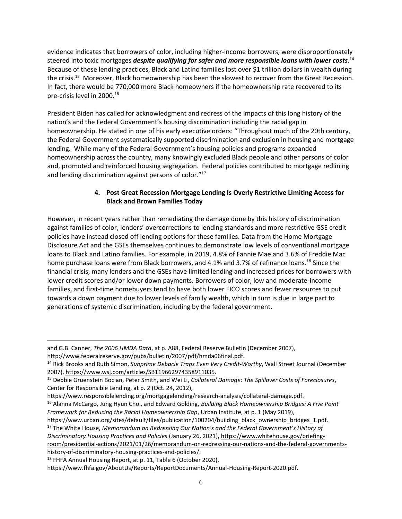evidence indicates that borrowers of color, including higher-income borrowers, were disproportionately steered into toxic mortgages *despite qualifying for safer and more responsible loans with lower costs*. 14 Because of these lending practices, Black and Latino families lost over \$1 trillion dollars in wealth during the crisis. 15 Moreover, Black homeownership has been the slowest to recover from the Great Recession. In fact, there would be 770,000 more Black homeowners if the homeownership rate recovered to its pre-crisis level in 2000.<sup>16</sup>

President Biden has called for acknowledgment and redress of the impacts of this long history of the nation's and the Federal Government's housing discrimination including the racial gap in homeownership. He stated in one of his early executive orders: "Throughout much of the 20th century, the Federal Government systematically supported discrimination and exclusion in housing and mortgage lending. While many of the Federal Government's housing policies and programs expanded homeownership across the country, many knowingly excluded Black people and other persons of color and, promoted and reinforced housing segregation. Federal policies contributed to mortgage redlining and lending discrimination against persons of color."<sup>17</sup>

## **4. Post Great Recession Mortgage Lending Is Overly Restrictive Limiting Access for Black and Brown Families Today**

However, in recent years rather than remediating the damage done by this history of discrimination against families of color, lenders' overcorrections to lending standards and more restrictive GSE credit policies have instead closed off lending options for these families. Data from the Home Mortgage Disclosure Act and the GSEs themselves continues to demonstrate low levels of conventional mortgage loans to Black and Latino families. For example, in 2019, 4.8% of Fannie Mae and 3.6% of Freddie Mac home purchase loans were from Black borrowers, and 4.1% and 3.7% of refinance loans.<sup>18</sup> Since the financial crisis, many lenders and the GSEs have limited lending and increased prices for borrowers with lower credit scores and/or lower down payments. Borrowers of color, low and moderate-income families, and first-time homebuyers tend to have both lower FICO scores and fewer resources to put towards a down payment due to lower levels of family wealth, which in turn is due in large part to generations of systemic discrimination, including by the federal government.

and G.B. Canner, *The 2006 HMDA Data*, at p. A88, Federal Reserve Bulletin (December 2007),

http://www.federalreserve.gov/pubs/bulletin/2007/pdf/hmda06final.pdf.

<sup>14</sup> Rick Brooks and Ruth Simon, *Subprime Debacle Traps Even Very Credit-Worthy*, Wall Street Journal (December 2007), [https://www.wsj.com/articles/SB119662974358911035.](https://www.wsj.com/articles/SB119662974358911035)

<sup>15</sup> Debbie Gruenstein Bocian, Peter Smith, and Wei Li, *Collateral Damage: The Spillover Costs of Foreclosures*, Center for Responsible Lending, at p. 2 (Oct. 24, 2012),

[https://www.responsiblelending.org/mortgagelending/research-analysis/collateral-damage.pdf.](https://www.responsiblelending.org/mortgagelending/research-analysis/collateral-damage.pdf)

<sup>16</sup> Alanna McCargo, Jung Hyun Choi, and Edward Golding, *Building Black Homeownership Bridges: A Five Point Framework for Reducing the Racial Homeownership Gap*, Urban Institute, at p. 1 (May 2019),

[https://www.urban.org/sites/default/files/publication/100204/building\\_black\\_ownership\\_bridges\\_1.pdf.](https://www.urban.org/sites/default/files/publication/100204/building_black_ownership_bridges_1.pdf) <sup>17</sup> The White House, *Memorandum on Redressing Our Nation's and the Federal Government's History of Discriminatory Housing Practices and Policies* (January 26, 2021)[, https://www.whitehouse.gov/briefing](https://www.whitehouse.gov/briefing-room/presidential-actions/2021/01/26/memorandum-on-redressing-our-nations-and-the-federal-governments-history-of-discriminatory-housing-practices-and-policies/)[room/presidential-actions/2021/01/26/memorandum-on-redressing-our-nations-and-the-federal-governments](https://www.whitehouse.gov/briefing-room/presidential-actions/2021/01/26/memorandum-on-redressing-our-nations-and-the-federal-governments-history-of-discriminatory-housing-practices-and-policies/)[history-of-discriminatory-housing-practices-and-policies/.](https://www.whitehouse.gov/briefing-room/presidential-actions/2021/01/26/memorandum-on-redressing-our-nations-and-the-federal-governments-history-of-discriminatory-housing-practices-and-policies/) 

<sup>&</sup>lt;sup>18</sup> FHFA Annual Housing Report, at p. 11, Table 6 (October 2020),

[https://www.fhfa.gov/AboutUs/Reports/ReportDocuments/Annual-Housing-Report-2020.pdf.](https://www.fhfa.gov/AboutUs/Reports/ReportDocuments/Annual-Housing-Report-2020.pdf)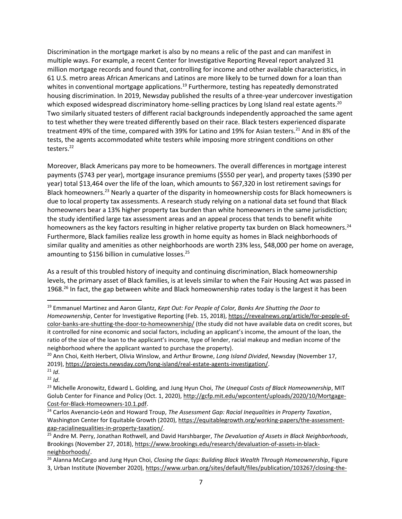Discrimination in the mortgage market is also by no means a relic of the past and can manifest in multiple ways. For example, a recent Center for Investigative Reporting Reveal report analyzed 31 million mortgage records and found that, controlling for income and other available characteristics, in 61 U.S. metro areas African Americans and Latinos are more likely to be turned down for a loan than whites in conventional mortgage applications.<sup>19</sup> Furthermore, testing has repeatedly demonstrated housing discrimination. In 2019, Newsday published the results of a three-year undercover investigation which exposed widespread discriminatory home-selling practices by Long Island real estate agents.<sup>20</sup> Two similarly situated testers of different racial backgrounds independently approached the same agent to test whether they were treated differently based on their race. Black testers experienced disparate treatment 49% of the time, compared with 39% for Latino and 19% for Asian testers.<sup>21</sup> And in 8% of the tests, the agents accommodated white testers while imposing more stringent conditions on other testers.<sup>22</sup>

Moreover, Black Americans pay more to be homeowners. The overall differences in mortgage interest payments (\$743 per year), mortgage insurance premiums (\$550 per year), and property taxes (\$390 per year) total \$13,464 over the life of the loan, which amounts to \$67,320 in lost retirement savings for Black homeowners.<sup>23</sup> Nearly a quarter of the disparity in homeownership costs for Black homeowners is due to local property tax assessments. A research study relying on a national data set found that Black homeowners bear a 13% higher property tax burden than white homeowners in the same jurisdiction; the study identified large tax assessment areas and an appeal process that tends to benefit white homeowners as the key factors resulting in higher relative property tax burden on Black homeowners.<sup>24</sup> Furthermore, Black families realize less growth in home equity as homes in Black neighborhoods of similar quality and amenities as other neighborhoods are worth 23% less, \$48,000 per home on average, amounting to \$156 billion in cumulative losses.<sup>25</sup>

As a result of this troubled history of inequity and continuing discrimination, Black homeownership levels, the primary asset of Black families, is at levels similar to when the Fair Housing Act was passed in 1968.<sup>26</sup> In fact, the gap between white and Black homeownership rates today is the largest it has been

<sup>19</sup> Emmanuel Martinez and Aaron Glantz, *Kept Out: For People of Color, Banks Are Shutting the Door to Homeownership*, Center for Investigative Reporting (Feb. 15, 2018), [https://revealnews.org/article/for-people-of](https://revealnews.org/article/for-people-of-color-banks-are-shutting-the-door-to-homeownership/)[color-banks-are-shutting-the-door-to-homeownership/](https://revealnews.org/article/for-people-of-color-banks-are-shutting-the-door-to-homeownership/) (the study did not have available data on credit scores, but it controlled for nine economic and social factors, including an applicant's income, the amount of the loan, the ratio of the size of the loan to the applicant's income, type of lender, racial makeup and median income of the neighborhood where the applicant wanted to purchase the property).

<sup>20</sup> Ann Choi, Keith Herbert, Olivia Winslow, and Arthur Browne, *Long Island Divided*, Newsday (November 17, 2019), [https://projects.newsday.com/long-island/real-estate-agents-investigation/.](https://projects.newsday.com/long-island/real-estate-agents-investigation/)

<sup>21</sup> *Id*.  $22$  *Id.* 

<sup>23</sup> Michelle Aronowitz, Edward L. Golding, and Jung Hyun Choi, *The Unequal Costs of Black Homeownership*, MIT Golub Center for Finance and Policy (Oct. 1, 2020)[, http://gcfp.mit.edu/wpcontent/uploads/2020/10/Mortgage-](http://gcfp.mit.edu/wpcontent/uploads/2020/10/Mortgage-Cost-for-Black-Homeowners-10.1.pdf)[Cost-for-Black-Homeowners-10.1.pdf.](http://gcfp.mit.edu/wpcontent/uploads/2020/10/Mortgage-Cost-for-Black-Homeowners-10.1.pdf)

<sup>24</sup> Carlos Avenancio-León and Howard Troup, *The Assessment Gap: Racial Inequalities in Property Taxation*, Washington Center for Equitable Growth (2020)[, https://equitablegrowth.org/working-papers/the-assessment](https://equitablegrowth.org/working-papers/the-assessment-gap-racialinequalities-in-property-taxation/)[gap-racialinequalities-in-property-taxation/.](https://equitablegrowth.org/working-papers/the-assessment-gap-racialinequalities-in-property-taxation/) 

<sup>25</sup> Andre M. Perry, Jonathan Rothwell, and David Harshbarger, *The Devaluation of Assets in Black Neighborhoods*, Brookings (November 27, 2018)[, https://www.brookings.edu/research/devaluation-of-assets-in-black](https://www.brookings.edu/research/devaluation-of-assets-in-black-neighborhoods/)[neighborhoods/.](https://www.brookings.edu/research/devaluation-of-assets-in-black-neighborhoods/)

<sup>26</sup> Alanna McCargo and Jung Hyun Choi, *Closing the Gaps: Building Black Wealth Through Homeownership*, Figure 3, Urban Institute (November 2020), [https://www.urban.org/sites/default/files/publication/103267/closing-the-](https://www.urban.org/sites/default/files/publication/103267/closing-the-gaps-building-black-wealth-through-homeownership_0.pdf)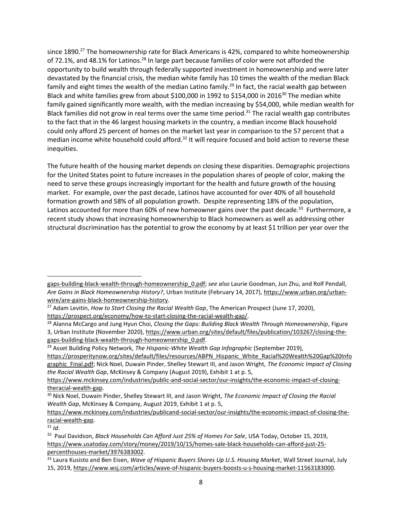since 1890.<sup>27</sup> The homeownership rate for Black Americans is 42%, compared to white homeownership of 72.1%, and 48.1% for Latinos.<sup>28</sup> In large part because families of color were not afforded the opportunity to build wealth through federally supported investment in homeownership and were later devastated by the financial crisis, the median white family has 10 times the wealth of the median Black family and eight times the wealth of the median Latino family.<sup>29</sup> In fact, the racial wealth gap between Black and white families grew from about \$100,000 in 1992 to \$154,000 in 2016 $30$  The median white family gained significantly more wealth, with the median increasing by \$54,000, while median wealth for Black families did not grow in real terms over the same time period.<sup>31</sup> The racial wealth gap contributes to the fact that in the 46 largest housing markets in the country, a median income Black household could only afford 25 percent of homes on the market last year in comparison to the 57 percent that a median income white household could afford.<sup>32</sup> It will require focused and bold action to reverse these inequities.

The future health of the housing market depends on closing these disparities. Demographic projections for the United States point to future increases in the population shares of people of color, making the need to serve these groups increasingly important for the health and future growth of the housing market. For example, over the past decade, Latinos have accounted for over 40% of all household formation growth and 58% of all population growth. Despite representing 18% of the population, Latinos accounted for more than 60% of new homeowner gains over the past decade.<sup>33</sup> Furthermore, a recent study shows that increasing homeownership to Black homeowners as well as addressing other structural discrimination has the potential to grow the economy by at least \$1 trillion per year over the

<sup>29</sup> Asset Building Policy Network, *The Hispanic-White Wealth Gap Infographic* (September 2019),

[gaps-building-black-wealth-through-homeownership\\_0.pdf;](https://www.urban.org/sites/default/files/publication/103267/closing-the-gaps-building-black-wealth-through-homeownership_0.pdf) *see also* Laurie Goodman, Jun Zhu, and Rolf Pendall, *Are Gains in Black Homeownership History?*, Urban Institute (February 14, 2017), [https://www.urban.org/urban](https://www.urban.org/urban-wire/are-gains-black-homeownership-history)[wire/are-gains-black-homeownership-history.](https://www.urban.org/urban-wire/are-gains-black-homeownership-history)

<sup>27</sup> Adam Levitin, *How to Start Closing the Racial Wealth Gap*, The American Prospect (June 17, 2020), [https://prospect.org/economy/how-to-start-closing-the-racial-wealth-gap/.](https://prospect.org/economy/how-to-start-closing-the-racial-wealth-gap/)

<sup>28</sup> Alanna McCargo and Jung Hyun Choi, *Closing the Gaps: Building Black Wealth Through Homeownership*, Figure 3, Urban Institute (November 2020), [https://www.urban.org/sites/default/files/publication/103267/closing-the](https://www.urban.org/sites/default/files/publication/103267/closing-the-gaps-building-black-wealth-through-homeownership_0.pdf)[gaps-building-black-wealth-through-homeownership\\_0.pdf.](https://www.urban.org/sites/default/files/publication/103267/closing-the-gaps-building-black-wealth-through-homeownership_0.pdf)

[https://prosperitynow.org/sites/default/files/resources/ABPN\\_Hispanic\\_White\\_Racial%20Wealth%20Gap%20Info](https://prosperitynow.org/sites/default/files/resources/ABPN_Hispanic_White_Racial%20Wealth%20Gap%20Infographic_Final.pdf) [graphic\\_Final.pdf;](https://prosperitynow.org/sites/default/files/resources/ABPN_Hispanic_White_Racial%20Wealth%20Gap%20Infographic_Final.pdf) Nick Noel, Duwain Pinder, Shelley Stewart III, and Jason Wright, *The Economic Impact of Closing the Racial Wealth Gap*, McKinsey & Company (August 2019), Exhibit 1 at p. 5,

[https://www.mckinsey.com/industries/public-and-social-sector/our-insights/the-economic-impact-of-closing](https://www.mckinsey.com/industries/public-and-social-sector/our-insights/the-economic-impact-of-closing-theracial-wealth-gap)[theracial-wealth-gap.](https://www.mckinsey.com/industries/public-and-social-sector/our-insights/the-economic-impact-of-closing-theracial-wealth-gap)

<sup>30</sup> Nick Noel, Duwain Pinder, Shelley Stewart III, and Jason Wright, *The Economic Impact of Closing the Racial Wealth Gap*, McKinsey & Company, August 2019, Exhibit 1 at p. 5,

[https://www.mckinsey.com/industries/publicand-social-sector/our-insights/the-economic-impact-of-closing-the](https://www.mckinsey.com/industries/publicand-social-sector/our-insights/the-economic-impact-of-closing-the-racial-wealth-gap)[racial-wealth-gap.](https://www.mckinsey.com/industries/publicand-social-sector/our-insights/the-economic-impact-of-closing-the-racial-wealth-gap)

 $31$  *Id.* 

<sup>32</sup> Paul Davidson, *Black Households Can Afford Just 25% of Homes For Sale*, USA Today, October 15, 2019, [https://www.usatoday.com/story/money/2019/10/15/homes-sale-black-households-can-afford-just-25](https://www.usatoday.com/story/money/2019/10/15/homes-sale-black-households-can-afford-just-25-%20percenthouses-market/3976383002) [percenthouses-market/3976383002.](https://www.usatoday.com/story/money/2019/10/15/homes-sale-black-households-can-afford-just-25-%20percenthouses-market/3976383002)

<sup>33</sup> Laura Kusisto and Ben Eisen, *Wave of Hispanic Buyers Shores Up U.S. Housing Market*, Wall Street Journal, July 15, 2019, [https://www.wsj.com/articles/wave-of-hispanic-buyers-boosts-u-s-housing-market-11563183000.](https://www.wsj.com/articles/wave-of-hispanic-buyers-boosts-u-s-housing-market-11563183000)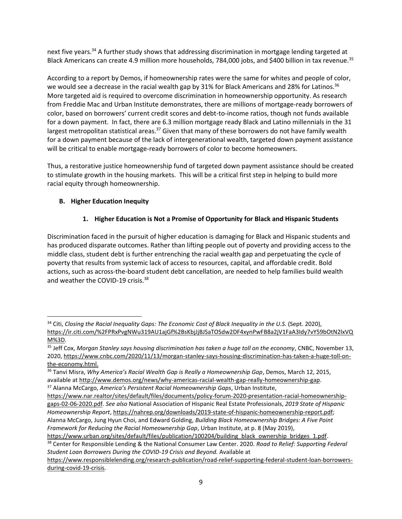next five years.<sup>34</sup> A further study shows that addressing discrimination in mortgage lending targeted at Black Americans can create 4.9 million more households, 784,000 jobs, and \$400 billion in tax revenue.<sup>35</sup>

According to a report by Demos, if homeownership rates were the same for whites and people of color, we would see a decrease in the racial wealth gap by 31% for Black Americans and 28% for Latinos.<sup>36</sup> More targeted aid is required to overcome discrimination in homeownership opportunity. As research from Freddie Mac and Urban Institute demonstrates, there are millions of mortgage-ready borrowers of color, based on borrowers' current credit scores and debt-to-income ratios, though not funds available for a down payment. In fact, there are 6.3 million mortgage ready Black and Latino millennials in the 31 largest metropolitan statistical areas.<sup>37</sup> Given that many of these borrowers do not have family wealth for a down payment because of the lack of intergenerational wealth, targeted down payment assistance will be critical to enable mortgage-ready borrowers of color to become homeowners.

Thus, a restorative justice homeownership fund of targeted down payment assistance should be created to stimulate growth in the housing markets. This will be a critical first step in helping to build more racial equity through homeownership.

### **B. Higher Education Inequity**

## **1. Higher Education is Not a Promise of Opportunity for Black and Hispanic Students**

Discrimination faced in the pursuit of higher education is damaging for Black and Hispanic students and has produced disparate outcomes. Rather than lifting people out of poverty and providing access to the middle class, student debt is further entrenching the racial wealth gap and perpetuating the cycle of poverty that results from systemic lack of access to resources, capital, and affordable credit. Bold actions, such as across-the-board student debt cancellation, are needed to help families build wealth and weather the COVID-19 crisis.<sup>38</sup>

[https://www.urban.org/sites/default/files/publication/100204/building\\_black\\_ownership\\_bridges\\_1.pdf.](https://www.urban.org/sites/default/files/publication/100204/building_black_ownership_bridges_1.pdf) <sup>38</sup> Center for Responsible Lending & the National Consumer Law Center. 2020. *Road to Relief: Supporting Federal Student Loan Borrowers During the COVID-19 Crisis and Beyond.* Available at

<sup>34</sup> Citi, *Closing the Racial Inequality Gaps: The Economic Cost of Black Inequality in the U.S*. (Sept. 2020), [https://ir.citi.com/%2FPRxPvgNWu319AU1ajGf%2BsKbjJjBJSaTOSdw2DF4xynPwFB8a2jV1FaA3Idy7vY59bOtN2lxVQ](https://ir.citi.com/%2FPRxPvgNWu319AU1ajGf%2BsKbjJjBJSaTOSdw2DF4xynPwFB8a2jV1FaA3Idy7vY59bOtN2lxVQM%3D) [M%3D.](https://ir.citi.com/%2FPRxPvgNWu319AU1ajGf%2BsKbjJjBJSaTOSdw2DF4xynPwFB8a2jV1FaA3Idy7vY59bOtN2lxVQM%3D)

<sup>35</sup> Jeff Cox, *Morgan Stanley says housing discrimination has taken a huge toll on the economy*, CNBC, November 13, 2020, [https://www.cnbc.com/2020/11/13/morgan-stanley-says-housing-discrimination-has-taken-a-huge-toll-on](https://www.cnbc.com/2020/11/13/morgan-stanley-says-housing-discrimination-has-taken-a-huge-toll-on-the-economy.html)[the-economy.html.](https://www.cnbc.com/2020/11/13/morgan-stanley-says-housing-discrimination-has-taken-a-huge-toll-on-the-economy.html)

<sup>36</sup> Tanvi Misra, *Why America's Racial Wealth Gap is Really a Homeownership Gap*, Demos, March 12, 2015, available a[t http://www.demos.org/news/why-americas-racial-wealth-gap-really-homeownership-gap.](http://www.demos.org/news/why-americas-racial-wealth-gap-really-homeownership-gap)

<sup>37</sup> Alanna McCargo, *America's Persistent Racial Homeownership Gaps*, Urban Institute,

[https://www.nar.realtor/sites/default/files/documents/policy-forum-2020-presentation-racial-homeownership](https://www.nar.realtor/sites/default/files/documents/policy-forum-2020-presentation-racial-homeownership-gaps-02-06-2020.pdf)[gaps-02-06-2020.pdf.](https://www.nar.realtor/sites/default/files/documents/policy-forum-2020-presentation-racial-homeownership-gaps-02-06-2020.pdf) *See also* National Association of Hispanic Real Estate Professionals, *2019 State of Hispanic Homeownership Report*[, https://nahrep.org/downloads/2019-state-of-hispanic-homeownership-report.pdf;](https://nahrep.org/downloads/2019-state-of-hispanic-homeownership-report.pdf) Alanna McCargo, Jung Hyun Choi, and Edward Golding, *Building Black Homeownership Bridges: A Five Point Framework for Reducing the Racial Homeownership Gap*, Urban Institute, at p. 8 (May 2019),

[https://www.responsiblelending.org/research-publication/road-relief-supporting-federal-student-loan-borrowers](https://www.responsiblelending.org/research-publication/road-relief-supporting-federal-student-loan-borrowers-during-covid-19-crisis)[during-covid-19-crisis.](https://www.responsiblelending.org/research-publication/road-relief-supporting-federal-student-loan-borrowers-during-covid-19-crisis)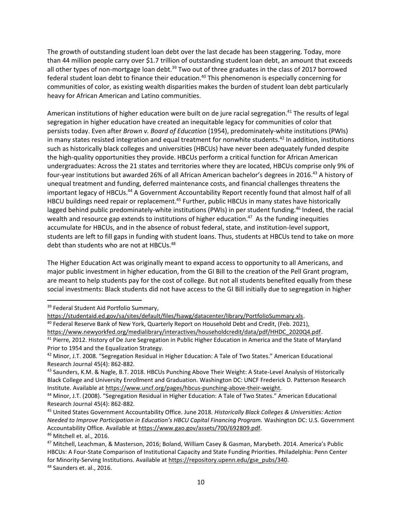The growth of outstanding student loan debt over the last decade has been staggering. Today, more than 44 million people carry over \$1.7 trillion of outstanding student loan debt, an amount that exceeds all other types of non-mortgage loan debt.<sup>39</sup> Two out of three graduates in the class of 2017 borrowed federal student loan debt to finance their education.<sup>40</sup> This phenomenon is especially concerning for communities of color, as existing wealth disparities makes the burden of student loan debt particularly heavy for African American and Latino communities.

American institutions of higher education were built on de jure racial segregation.<sup>41</sup> The results of legal segregation in higher education have created an inequitable legacy for communities of color that persists today. Even after *Brown v. Board of Education* (1954), predominately-white institutions (PWIs) in many states resisted integration and equal treatment for nonwhite students.<sup>42</sup> In addition, institutions such as historically black colleges and universities (HBCUs) have never been adequately funded despite the high-quality opportunities they provide. HBCUs perform a critical function for African American undergraduates: Across the 21 states and territories where they are located, HBCUs comprise only 9% of four-year institutions but awarded 26% of all African American bachelor's degrees in 2016.<sup>43</sup> A history of unequal treatment and funding, deferred maintenance costs, and financial challenges threatens the important legacy of HBCUs.<sup>44</sup> A Government Accountability Report recently found that almost half of all HBCU buildings need repair or replacement.<sup>45</sup> Further, public HBCUs in many states have historically lagged behind public predominately-white institutions (PWIs) in per student funding.<sup>46</sup> Indeed, the racial wealth and resource gap extends to institutions of higher education.<sup>47</sup> As the funding inequities accumulate for HBCUs, and in the absence of robust federal, state, and institution-level support, students are left to fill gaps in funding with student loans. Thus, students at HBCUs tend to take on more debt than students who are not at HBCUs.<sup>48</sup>

The Higher Education Act was originally meant to expand access to opportunity to all Americans, and major public investment in higher education, from the GI Bill to the creation of the Pell Grant program, are meant to help students pay for the cost of college. But not all students benefited equally from these social investments: Black students did not have access to the GI Bill initially due to segregation in higher

<sup>39</sup> Federal Student Aid Portfolio Summary,

<sup>46</sup> Mitchell et. al., 2016.

<sup>48</sup> Saunders et. al., 2016.

[https://studentaid.ed.gov/sa/sites/default/files/fsawg/datacenter/library/PortfolioSummary.xls.](https://studentaid.ed.gov/sa/sites/default/files/fsawg/datacenter/library/PortfolioSummary.xls)

<sup>40</sup> Federal Reserve Bank of New York, Quarterly Report on Household Debt and Credit, (Feb. 2021),

[https://www.newyorkfed.org/medialibrary/interactives/householdcredit/data/pdf/HHDC\\_2020Q4.pdf.](https://www.newyorkfed.org/medialibrary/interactives/householdcredit/data/pdf/HHDC_2020Q4.pdf) <sup>41</sup> Pierre, 2012. History of De Jure Segregation in Public Higher Education in America and the State of Maryland Prior to 1954 and the Equalization Strategy.

<sup>&</sup>lt;sup>42</sup> Minor, J.T. 2008. "Segregation Residual in Higher Education: A Tale of Two States." American Educational Research Journal 45(4): 862-882.

<sup>&</sup>lt;sup>43</sup> Saunders, K.M. & Nagle, B.T. 2018. HBCUs Punching Above Their Weight: A State-Level Analysis of Historically Black College and University Enrollment and Graduation. Washington DC: UNCF Frederick D. Patterson Research Institute. Available a[t https://www.uncf.org/pages/hbcus-punching-above-their-weight.](https://www.uncf.org/pages/hbcus-punching-above-their-weight)

<sup>44</sup> Minor, J.T. (2008). "Segregation Residual in Higher Education: A Tale of Two States." American Educational Research Journal 45(4): 862-882.

<sup>45</sup> United States Government Accountability Office. June 2018. *Historically Black Colleges & Universities: Action Needed to Improve Participation in Education's HBCU Capital Financing Program.* Washington DC: U.S. Government Accountability Office. Available at [https://www.gao.gov/assets/700/692809.pdf.](https://www.gao.gov/assets/700/692809.pdf)

<sup>47</sup> Mitchell, Leachman, & Masterson, 2016; Boland, William Casey & Gasman, Marybeth. 2014. America's Public HBCUs: A Four-State Comparison of Institutional Capacity and State Funding Priorities. Philadelphia: Penn Center for Minority-Serving Institutions. Available a[t https://repository.upenn.edu/gse\\_pubs/340.](https://repository.upenn.edu/gse_pubs/340)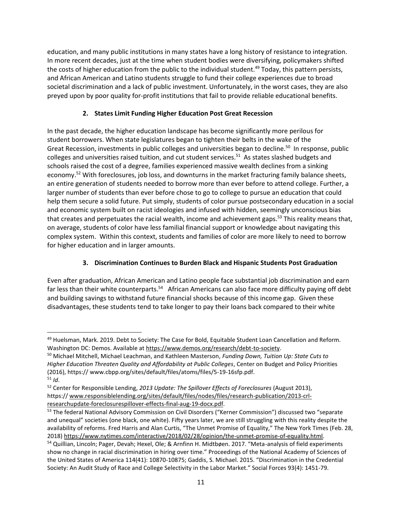education, and many public institutions in many states have a long history of resistance to integration. In more recent decades, just at the time when student bodies were diversifying, policymakers shifted the costs of higher education from the public to the individual student.<sup>49</sup> Today, this pattern persists, and African American and Latino students struggle to fund their college experiences due to broad societal discrimination and a lack of public investment. Unfortunately, in the worst cases, they are also preyed upon by poor quality for-profit institutions that fail to provide reliable educational benefits.

## **2. States Limit Funding Higher Education Post Great Recession**

In the past decade, the higher education landscape has become significantly more perilous for student borrowers. When state legislatures began to tighten their belts in the wake of the Great Recession, investments in public colleges and universities began to decline.<sup>50</sup> In response, public colleges and universities raised tuition, and cut student services.<sup>51</sup> As states slashed budgets and schools raised the cost of a degree, families experienced massive wealth declines from a sinking economy.<sup>52</sup> With foreclosures, job loss, and downturns in the market fracturing family balance sheets, an entire generation of students needed to borrow more than ever before to attend college. Further, a larger number of students than ever before chose to go to college to pursue an education that could help them secure a solid future. Put simply, students of color pursue postsecondary education in a social and economic system built on racist ideologies and infused with hidden, seemingly unconscious bias that creates and perpetuates the racial wealth, income and achievement gaps.<sup>53</sup> This reality means that, on average, students of color have less familial financial support or knowledge about navigating this complex system. Within this context, students and families of color are more likely to need to borrow for higher education and in larger amounts.

## **3. Discrimination Continues to Burden Black and Hispanic Students Post Graduation**

Even after graduation, African American and Latino people face substantial job discrimination and earn far less than their white counterparts.<sup>54</sup> African Americans can also face more difficulty paying off debt and building savings to withstand future financial shocks because of this income gap. Given these disadvantages, these students tend to take longer to pay their loans back compared to their white

<sup>49</sup> Huelsman, Mark. 2019. Debt to Society: The Case for Bold, Equitable Student Loan Cancellation and Reform. Washington DC: Demos. Available a[t https://www.demos.org/research/debt-to-society.](https://www.demos.org/research/debt-to-society) 

<sup>50</sup> Michael Mitchell, Michael Leachman, and Kathleen Masterson, *Funding Down, Tuition Up: State Cuts to Higher Education Threaten Quality and Affordability at Public Colleges*, Center on Budget and Policy Priorities (2016), https:// www.cbpp.org/sites/default/files/atoms/files/5-19-16sfp.pdf.  $51$  *Id.* 

<sup>52</sup> Center for Responsible Lending, *2013 Update: The Spillover Effects of Foreclosures* (August 2013), https:// [www.responsiblelending.org/sites/default/files/nodes/files/research-publication/2013-crl](http://www.responsiblelending.org/sites/default/files/nodes/files/research-publication/2013-crl-researchupdate-foreclosurespillover-effects-final-aug-19-docx.pdf)[researchupdate-foreclosurespillover-effects-final-aug-19-docx.pdf.](http://www.responsiblelending.org/sites/default/files/nodes/files/research-publication/2013-crl-researchupdate-foreclosurespillover-effects-final-aug-19-docx.pdf)

<sup>53</sup> The federal National Advisory Commission on Civil Disorders ("Kerner Commission") discussed two "separate and unequal" societies (one black, one white). Fifty years later, we are still struggling with this reality despite the availability of reforms. Fred Harris and Alan Curtis, "The Unmet Promise of Equality," The New York Times (Feb. 28, 2018[\) https://www.nytimes.com/interactive/2018/02/28/opinion/the-unmet-promise-of-equality.html.](https://www.nytimes.com/interactive/2018/02/28/opinion/the-unmet-promise-of-equality.html)

<sup>&</sup>lt;sup>54</sup> Quillian, Lincoln; Pager, Devah; Hexel, Ole; & Arnfinn H. Midtbøen. 2017. "Meta-analysis of field experiments show no change in racial discrimination in hiring over time." Proceedings of the National Academy of Sciences of the United States of America 114(41): 10870-10875; Gaddis, S. Michael. 2015. "Discrimination in the Credential Society: An Audit Study of Race and College Selectivity in the Labor Market." Social Forces 93(4): 1451-79.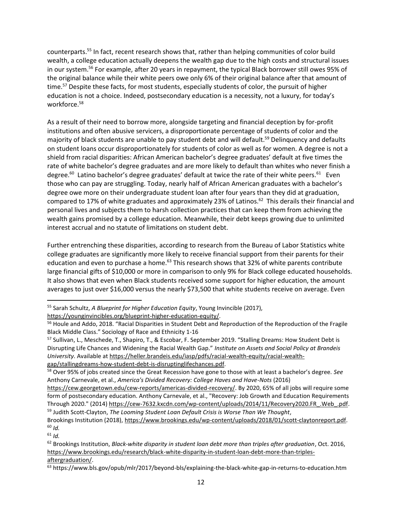counterparts.<sup>55</sup> In fact, recent research shows that, rather than helping communities of color build wealth, a college education actually deepens the wealth gap due to the high costs and structural issues in our system.<sup>56</sup> For example, after 20 years in repayment, the typical Black borrower still owes 95% of the original balance while their white peers owe only 6% of their original balance after that amount of time.<sup>57</sup> Despite these facts, for most students, especially students of color, the pursuit of higher education is not a choice. Indeed, postsecondary education is a necessity, not a luxury, for today's workforce.<sup>58</sup>

As a result of their need to borrow more, alongside targeting and financial deception by for-profit institutions and often abusive servicers, a disproportionate percentage of students of color and the majority of black students are unable to pay student debt and will default.<sup>59</sup> Delinquency and defaults on student loans occur disproportionately for students of color as well as for women. A degree is not a shield from racial disparities: African American bachelor's degree graduates' default at five times the rate of white bachelor's degree graduates and are more likely to default than whites who never finish a degree.<sup>60</sup> Latino bachelor's degree graduates' default at twice the rate of their white peers.<sup>61</sup> Even those who can pay are struggling. Today, nearly half of African American graduates with a bachelor's degree owe more on their undergraduate student loan after four years than they did at graduation, compared to 17% of white graduates and approximately 23% of Latinos.<sup>62</sup> This derails their financial and personal lives and subjects them to harsh collection practices that can keep them from achieving the wealth gains promised by a college education. Meanwhile, their debt keeps growing due to unlimited interest accrual and no statute of limitations on student debt.

Further entrenching these disparities, according to research from the Bureau of Labor Statistics white college graduates are significantly more likely to receive financial support from their parents for their education and even to purchase a home.<sup>63</sup> This research shows that 32% of white parents contribute large financial gifts of \$10,000 or more in comparison to only 9% for Black college educated households. It also shows that even when Black students received some support for higher education, the amount averages to just over \$16,000 versus the nearly \$73,500 that white students receive on average. Even

<sup>61</sup> *Id.*

<sup>55</sup> Sarah Schultz, *A Blueprint for Higher Education Equity*, Young Invincible (2017),

[https://younginvincibles.org/blueprint-higher-education-equity/.](https://younginvincibles.org/blueprint-higher-education-equity/)

<sup>56</sup> Houle and Addo, 2018. "Racial Disparities in Student Debt and Reproduction of the Reproduction of the Fragile Black Middle Class." Sociology of Race and Ethnicity 1-16

<sup>57</sup> Sullivan, L., Meschede, T., Shapiro, T., & Escobar, F. September 2019. "Stalling Dreams: How Student Debt is Disrupting Life Chances and Widening the Racial Wealth Gap." *Institute on Assets and Social Policy at Brandeis University*. Available at [https://heller.brandeis.edu/iasp/pdfs/racial-wealth-equity/racial-wealth](https://heller.brandeis.edu/iasp/pdfs/racial-wealth-equity/racial-wealth-gap/stallingdreams-how-student-debt-is-disruptinglifechances.pdf)[gap/stallingdreams-how-student-debt-is-disruptinglifechances.pdf.](https://heller.brandeis.edu/iasp/pdfs/racial-wealth-equity/racial-wealth-gap/stallingdreams-how-student-debt-is-disruptinglifechances.pdf)

<sup>58</sup> Over 95% of jobs created since the Great Recession have gone to those with at least a bachelor's degree. *See* Anthony Carnevale, et al., *America's Divided Recovery: College Haves and Have-Nots* (2016)

[https://cew.georgetown.edu/cew-reports/americas-divided-recovery/.](https://cew.georgetown.edu/cew-reports/americas-divided-recovery/) By 2020, 65% of all jobs will require some form of postsecondary education. Anthony Carnevale, et al., "Recovery: Job Growth and Education Requirements Through 2020." (2014) https://cew-7632.kxcdn.com/wp-content/uploads/2014/11/Recovery2020.FR .Web .pdf. <sup>59</sup> Judith Scott-Clayton, *The Looming Student Loan Default Crisis is Worse Than We Thought*,

Brookings Institution (2018), [https://www.brookings.edu/wp-content/uploads/2018/01/scott-claytonreport.pdf.](https://www.brookings.edu/wp-content/uploads/2018/01/scott-claytonreport.pdf) <sup>60</sup> *Id.* 

<sup>62</sup> Brookings Institution, *Black-white disparity in student loan debt more than triples after graduation*, Oct. 2016, [https://www.brookings.edu/research/black-white-disparity-in-student-loan-debt-more-than-triples](https://www.brookings.edu/research/black-white-disparity-in-student-loan-debt-more-than-triples-aftergraduation/)[aftergraduation/.](https://www.brookings.edu/research/black-white-disparity-in-student-loan-debt-more-than-triples-aftergraduation/)

<sup>&</sup>lt;sup>63</sup> https://www.bls.gov/opub/mlr/2017/beyond-bls/explaining-the-black-white-gap-in-returns-to-education.htm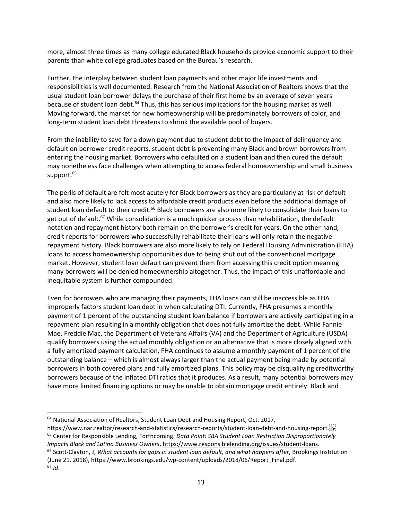more, almost three times as many college educated Black households provide economic support to their parents than white college graduates based on the Bureau's research.

Further, the interplay between student loan payments and other major life investments and responsibilities is well documented. Research from the National Association of Realtors shows that the usual student loan borrower delays the purchase of their first home by an average of seven years because of student loan debt.<sup>64</sup> Thus, this has serious implications for the housing market as well. Moving forward, the market for new homeownership will be predominately borrowers of color, and long-term student loan debt threatens to shrink the available pool of buyers.

From the inability to save for a down payment due to student debt to the impact of delinquency and default on borrower credit reports, student debt is preventing many Black and brown borrowers from entering the housing market. Borrowers who defaulted on a student loan and then cured the default may nonetheless face challenges when attempting to access federal homeownership and small business support.<sup>65</sup>

The perils of default are felt most acutely for Black borrowers as they are particularly at risk of default and also more likely to lack access to affordable credit products even before the additional damage of student loan default to their credit.<sup>66</sup> Black borrowers are also more likely to consolidate their loans to get out of default.<sup>67</sup> While consolidation is a much quicker process than rehabilitation, the default notation and repayment history both remain on the borrower's credit for years. On the other hand, credit reports for borrowers who successfully rehabilitate their loans will only retain the negative repayment history. Black borrowers are also more likely to rely on Federal Housing Administration (FHA) loans to access homeownership opportunities due to being shut out of the conventional mortgage market. However, student loan default can prevent them from accessing this credit option meaning many borrowers will be denied homeownership altogether. Thus, the impact of this unaffordable and inequitable system is further compounded.

Even for borrowers who are managing their payments, FHA loans can still be inaccessible as FHA improperly factors student loan debt in when calculating DTI. Currently, FHA presumes a monthly payment of 1 percent of the outstanding student loan balance if borrowers are actively participating in a repayment plan resulting in a monthly obligation that does not fully amortize the debt. While Fannie Mae, Freddie Mac, the Department of Veterans Affairs (VA) and the Department of Agriculture (USDA) qualify borrowers using the actual monthly obligation or an alternative that is more closely aligned with a fully amortized payment calculation, FHA continues to assume a monthly payment of 1 percent of the outstanding balance – which is almost always larger than the actual payment being made by potential borrowers in both covered plans and fully amortized plans. This policy may be disqualifying creditworthy borrowers because of the inflated DTI ratios that it produces. As a result, many potential borrowers may have more limited financing options or may be unable to obtain mortgage credit entirely. Black and

 $64$  National Association of Realtors, Student Loan Debt and Housing Report, Oct. 2017,

https://www.nar.realtor/research-and-statistics/research-reports/student-loan-debt-and-housing-report. <sup>65</sup> Center for Responsible Lending, Forthcoming. *Data Point: SBA Student Loan Restriction Disproportionately Impacts Black and Latino Business Owners*, [https://www.responsiblelending.org/issues/student-loans.](https://www.responsiblelending.org/issues/student-loans) <sup>66</sup> Scott-Clayton, J, *What accounts for gaps in student loan default, and what happens after*, Brookings Institution (June 21, 2018), [https://www.brookings.edu/wp-content/uploads/2018/06/Report\\_Final.pdf.](https://www.brookings.edu/wp-content/uploads/2018/06/Report_Final.pdf) <sup>67</sup> *Id*.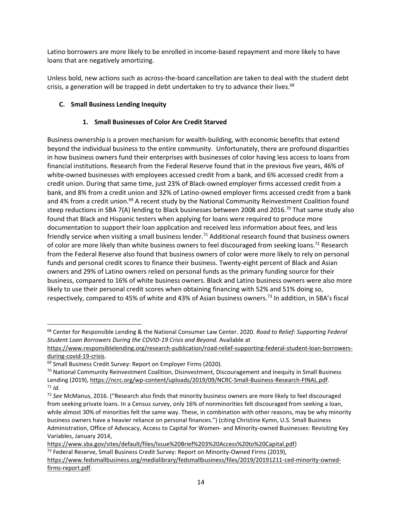Latino borrowers are more likely to be enrolled in income-based repayment and more likely to have loans that are negatively amortizing.

Unless bold, new actions such as across-the-board cancellation are taken to deal with the student debt crisis, a generation will be trapped in debt undertaken to try to advance their lives. $68$ 

## **C. Small Business Lending Inequity**

## **1. Small Businesses of Color Are Credit Starved**

Business ownership is a proven mechanism for wealth-building, with economic benefits that extend beyond the individual business to the entire community. Unfortunately, there are profound disparities in how business owners fund their enterprises with businesses of color having less access to loans from financial institutions. Research from the Federal Reserve found that in the previous five years, 46% of white-owned businesses with employees accessed credit from a bank, and 6% accessed credit from a credit union. During that same time, just 23% of Black-owned employer firms accessed credit from a bank, and 8% from a credit union and 32% of Latino-owned employer firms accessed credit from a bank and 4% from a credit union.<sup>69</sup> A recent study by the National Community Reinvestment Coalition found steep reductions in SBA 7(A) lending to Black businesses between 2008 and 2016.<sup>70</sup> That same study also found that Black and Hispanic testers when applying for loans were required to produce more documentation to support their loan application and received less information about fees, and less friendly service when visiting a small business lender.<sup>71</sup> Additional research found that business owners of color are more likely than white business owners to feel discouraged from seeking loans.<sup>72</sup> Research from the Federal Reserve also found that business owners of color were more likely to rely on personal funds and personal credit scores to finance their business. Twenty-eight percent of Black and Asian owners and 29% of Latino owners relied on personal funds as the primary funding source for their business, compared to 16% of white business owners. Black and Latino business owners were also more likely to use their personal credit scores when obtaining financing with 52% and 51% doing so, respectively, compared to 45% of white and 43% of Asian business owners.<sup>73</sup> In addition, in SBA's fiscal

<sup>68</sup> Center for Responsible Lending & the National Consumer Law Center. 2020. *Road to Relief: Supporting Federal Student Loan Borrowers During the COVID-19 Crisis and Beyond.* Available at

[https://www.responsiblelending.org/research-publication/road-relief-supporting-federal-student-loan-borrowers](https://www.responsiblelending.org/research-publication/road-relief-supporting-federal-student-loan-borrowers-during-covid-19-crisis)[during-covid-19-crisis.](https://www.responsiblelending.org/research-publication/road-relief-supporting-federal-student-loan-borrowers-during-covid-19-crisis) 

<sup>&</sup>lt;sup>69</sup> Small Business Credit Survey: Report on Employer Firms (2020).

 $70$  National Community Reinvestment Coalition, Disinvestment, Discouragement and Inequity in Small Business Lending (2019), [https://ncrc.org/wp-content/uploads/2019/09/NCRC-Small-Business-Research-FINAL.pdf.](https://ncrc.org/wp-content/uploads/2019/09/NCRC-Small-Business-Research-FINAL.pdf)  $71$  *Id.* 

<sup>72</sup> *See* McManus, 2016. ("Research also finds that minority business owners are more likely to feel discouraged from seeking private loans. In a Census survey, only 16% of nonminorities felt discouraged from seeking a loan, while almost 30% of minorities felt the same way. These, in combination with other reasons, may be why minority business owners have a heavier reliance on personal finances.") (citing Christine Kymn, U.S. Small Business Administration, Office of Advocacy, Access to Capital for Women- and Minority-owned Businesses: Revisiting Key Variables, January 2014,

[https://www.sba.gov/sites/default/files/Issue%20Brief%203%20Access%20to%20Capital.pdf\)](https://www.sba.gov/sites/default/files/Issue%20Brief%203%20Access%20to%20Capital.pdf)  $<sup>73</sup>$  Federal Reserve, Small Business Credit Survey: Report on Minority-Owned Firms (2019),</sup> [https://www.fedsmallbusiness.org/medialibrary/fedsmallbusiness/files/2019/20191211-ced-minority-owned](https://www.fedsmallbusiness.org/medialibrary/fedsmallbusiness/files/2019/20191211-ced-minority-owned-firms-report.pdf)[firms-report.pdf.](https://www.fedsmallbusiness.org/medialibrary/fedsmallbusiness/files/2019/20191211-ced-minority-owned-firms-report.pdf)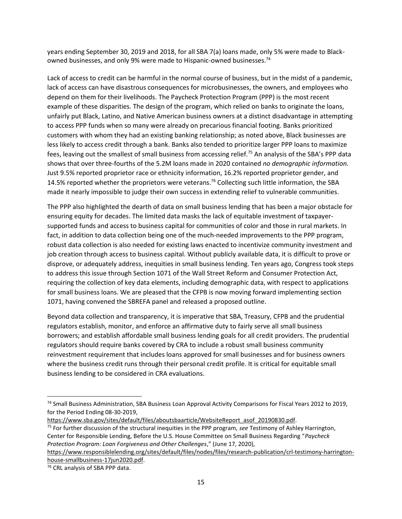years ending September 30, 2019 and 2018, for all SBA 7(a) loans made, only 5% were made to Blackowned businesses, and only 9% were made to Hispanic-owned businesses.<sup>74</sup>

Lack of access to credit can be harmful in the normal course of business, but in the midst of a pandemic, lack of access can have disastrous consequences for microbusinesses, the owners, and employees who depend on them for their livelihoods. The Paycheck Protection Program (PPP) is the most recent example of these disparities. The design of the program, which relied on banks to originate the loans, unfairly put Black, Latino, and Native American business owners at a distinct disadvantage in attempting to access PPP funds when so many were already on precarious financial footing. Banks prioritized customers with whom they had an existing banking relationship; as noted above, Black businesses are less likely to access credit through a bank. Banks also tended to prioritize larger PPP loans to maximize fees, leaving out the smallest of small business from accessing relief.<sup>75</sup> An analysis of the SBA's PPP data shows that over three-fourths of the 5.2M loans made in 2020 contained *no demographic information.* Just 9.5% reported proprietor race or ethnicity information, 16.2% reported proprietor gender, and 14.5% reported whether the proprietors were veterans.<sup>76</sup> Collecting such little information, the SBA made it nearly impossible to judge their own success in extending relief to vulnerable communities.

The PPP also highlighted the dearth of data on small business lending that has been a major obstacle for ensuring equity for decades. The limited data masks the lack of equitable investment of taxpayersupported funds and access to business capital for communities of color and those in rural markets. In fact, in addition to data collection being one of the much-needed improvements to the PPP program, robust data collection is also needed for existing laws enacted to incentivize community investment and job creation through access to business capital. Without publicly available data, it is difficult to prove or disprove, or adequately address, inequities in small business lending. Ten years ago, Congress took steps to address this issue through Section 1071 of the Wall Street Reform and Consumer Protection Act, requiring the collection of key data elements, including demographic data, with respect to applications for small business loans. We are pleased that the CFPB is now moving forward implementing section 1071, having convened the SBREFA panel and released a proposed outline.

Beyond data collection and transparency, it is imperative that SBA, Treasury, CFPB and the prudential regulators establish, monitor, and enforce an affirmative duty to fairly serve all small business borrowers; and establish affordable small business lending goals for all credit providers. The prudential regulators should require banks covered by CRA to include a robust small business community reinvestment requirement that includes loans approved for small businesses and for business owners where the business credit runs through their personal credit profile. It is critical for equitable small business lending to be considered in CRA evaluations.

[https://www.sba.gov/sites/default/files/aboutsbaarticle/WebsiteReport\\_asof\\_20190830.pdf.](https://www.sba.gov/sites/default/files/aboutsbaarticle/WebsiteReport_asof_20190830.pdf)

<sup>75</sup> For further discussion of the structural inequities in the PPP program, *see* Testimony of Ashley Harrington, Center for Responsible Lending, Before the U.S. House Committee on Small Business Regarding "*Paycheck Protection Program: Loan Forgiveness and Other Challenges*," (June 17, 2020),

<sup>&</sup>lt;sup>74</sup> Small Business Administration, SBA Business Loan Approval Activity Comparisons for Fiscal Years 2012 to 2019, for the Period Ending 08-30-2019,

[https://www.responsiblelending.org/sites/default/files/nodes/files/research-publication/crl-testimony-harrington](https://www.responsiblelending.org/sites/default/files/nodes/files/research-publication/crl-testimony-harrington-house-smallbusiness-17jun2020.pdf)[house-smallbusiness-17jun2020.pdf.](https://www.responsiblelending.org/sites/default/files/nodes/files/research-publication/crl-testimony-harrington-house-smallbusiness-17jun2020.pdf)

<sup>&</sup>lt;sup>76</sup> CRL analysis of SBA PPP data.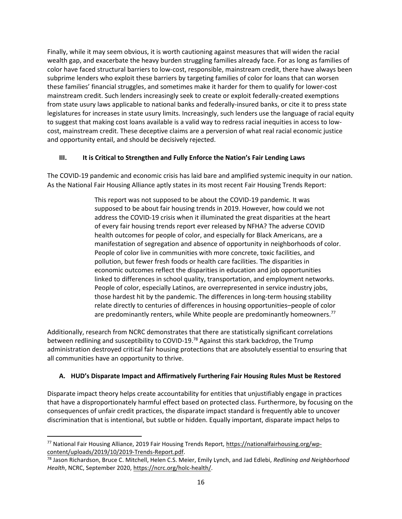Finally, while it may seem obvious, it is worth cautioning against measures that will widen the racial wealth gap, and exacerbate the heavy burden struggling families already face. For as long as families of color have faced structural barriers to low-cost, responsible, mainstream credit, there have always been subprime lenders who exploit these barriers by targeting families of color for loans that can worsen these families' financial struggles, and sometimes make it harder for them to qualify for lower-cost mainstream credit. Such lenders increasingly seek to create or exploit federally-created exemptions from state usury laws applicable to national banks and federally-insured banks, or cite it to press state legislatures for increases in state usury limits. Increasingly, such lenders use the language of racial equity to suggest that making cost loans available is a valid way to redress racial inequities in access to lowcost, mainstream credit. These deceptive claims are a perversion of what real racial economic justice and opportunity entail, and should be decisively rejected.

### **III. It is Critical to Strengthen and Fully Enforce the Nation's Fair Lending Laws**

The COVID-19 pandemic and economic crisis has laid bare and amplified systemic inequity in our nation. As the National Fair Housing Alliance aptly states in its most recent Fair Housing Trends Report:

> This report was not supposed to be about the COVID-19 pandemic. It was supposed to be about fair housing trends in 2019. However, how could we not address the COVID-19 crisis when it illuminated the great disparities at the heart of every fair housing trends report ever released by NFHA? The adverse COVID health outcomes for people of color, and especially for Black Americans, are a manifestation of segregation and absence of opportunity in neighborhoods of color. People of color live in communities with more concrete, toxic facilities, and pollution, but fewer fresh foods or health care facilities. The disparities in economic outcomes reflect the disparities in education and job opportunities linked to differences in school quality, transportation, and employment networks. People of color, especially Latinos, are overrepresented in service industry jobs, those hardest hit by the pandemic. The differences in long-term housing stability relate directly to centuries of differences in housing opportunities–people of color are predominantly renters, while White people are predominantly homeowners.<sup>77</sup>

Additionally, research from NCRC demonstrates that there are statistically significant correlations between redlining and susceptibility to COVID-19.<sup>78</sup> Against this stark backdrop, the Trump administration destroyed critical fair housing protections that are absolutely essential to ensuring that all communities have an opportunity to thrive.

### **A. HUD's Disparate Impact and Affirmatively Furthering Fair Housing Rules Must be Restored**

Disparate impact theory helps create accountability for entities that unjustifiably engage in practices that have a disproportionately harmful effect based on protected class. Furthermore, by focusing on the consequences of unfair credit practices, the disparate impact standard is frequently able to uncover discrimination that is intentional, but subtle or hidden. Equally important, disparate impact helps to

<sup>77</sup> National Fair Housing Alliance, 2019 Fair Housing Trends Report[, https://nationalfairhousing.org/wp](https://nationalfairhousing.org/wp-content/uploads/2019/10/2019-Trends-Report.pdf)[content/uploads/2019/10/2019-Trends-Report.pdf.](https://nationalfairhousing.org/wp-content/uploads/2019/10/2019-Trends-Report.pdf)

<sup>78</sup> Jason Richardson, Bruce C. Mitchell, Helen C.S. Meier, Emily Lynch, and Jad Edlebi, *Redlining and Neighborhood Health*, NCRC, September 2020, [https://ncrc.org/holc-health/.](https://ncrc.org/holc-health/)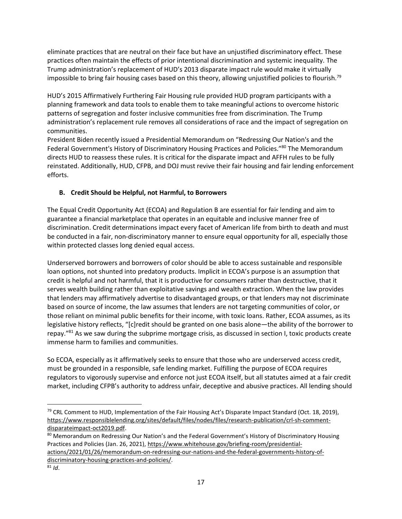eliminate practices that are neutral on their face but have an unjustified discriminatory effect. These practices often maintain the effects of prior intentional discrimination and systemic inequality. The Trump administration's replacement of HUD's 2013 disparate impact rule would make it virtually impossible to bring fair housing cases based on this theory, allowing unjustified policies to flourish.<sup>79</sup>

HUD's 2015 Affirmatively Furthering Fair Housing rule provided HUD program participants with a planning framework and data tools to enable them to take meaningful actions to overcome historic patterns of segregation and foster inclusive communities free from discrimination. The Trump administration's replacement rule removes all considerations of race and the impact of segregation on communities.

President Biden recently issued a Presidential Memorandum on "Redressing Our Nation's and the Federal Government's History of Discriminatory Housing Practices and Policies."<sup>80</sup> The Memorandum directs HUD to reassess these rules. It is critical for the disparate impact and AFFH rules to be fully reinstated. Additionally, HUD, CFPB, and DOJ must revive their fair housing and fair lending enforcement efforts.

# **B. Credit Should be Helpful, not Harmful, to Borrowers**

The Equal Credit Opportunity Act (ECOA) and Regulation B are essential for fair lending and aim to guarantee a financial marketplace that operates in an equitable and inclusive manner free of discrimination. Credit determinations impact every facet of American life from birth to death and must be conducted in a fair, non-discriminatory manner to ensure equal opportunity for all, especially those within protected classes long denied equal access.

Underserved borrowers and borrowers of color should be able to access sustainable and responsible loan options, not shunted into predatory products. Implicit in ECOA's purpose is an assumption that credit is helpful and not harmful, that it is productive for consumers rather than destructive, that it serves wealth building rather than exploitative savings and wealth extraction. When the law provides that lenders may affirmatively advertise to disadvantaged groups, or that lenders may not discriminate based on source of income, the law assumes that lenders are not targeting communities of color, or those reliant on minimal public benefits for their income, with toxic loans. Rather, ECOA assumes, as its legislative history reflects, "[c]redit should be granted on one basis alone—the ability of the borrower to repay."<sup>81</sup> As we saw during the subprime mortgage crisis, as discussed in section I, toxic products create immense harm to families and communities.

So ECOA, especially as it affirmatively seeks to ensure that those who are underserved access credit, must be grounded in a responsible, safe lending market. Fulfilling the purpose of ECOA requires regulators to vigorously supervise and enforce not just ECOA itself, but all statutes aimed at a fair credit market, including CFPB's authority to address unfair, deceptive and abusive practices. All lending should

<sup>&</sup>lt;sup>79</sup> CRL Comment to HUD, Implementation of the Fair Housing Act's Disparate Impact Standard (Oct. 18, 2019), [https://www.responsiblelending.org/sites/default/files/nodes/files/research-publication/crl-sh-comment](https://www.responsiblelending.org/sites/default/files/nodes/files/research-publication/crl-sh-comment-disparateimpact-oct2019.pdf)[disparateimpact-oct2019.pdf.](https://www.responsiblelending.org/sites/default/files/nodes/files/research-publication/crl-sh-comment-disparateimpact-oct2019.pdf)

<sup>80</sup> Memorandum on Redressing Our Nation's and the Federal Government's History of Discriminatory Housing Practices and Policies (Jan. 26, 2021), [https://www.whitehouse.gov/briefing-room/presidential](https://www.whitehouse.gov/briefing-room/presidential-actions/2021/01/26/memorandum-on-redressing-our-nations-and-the-federal-governments-history-of-discriminatory-housing-practices-and-policies/)[actions/2021/01/26/memorandum-on-redressing-our-nations-and-the-federal-governments-history-of-](https://www.whitehouse.gov/briefing-room/presidential-actions/2021/01/26/memorandum-on-redressing-our-nations-and-the-federal-governments-history-of-discriminatory-housing-practices-and-policies/)

[discriminatory-housing-practices-and-policies/.](https://www.whitehouse.gov/briefing-room/presidential-actions/2021/01/26/memorandum-on-redressing-our-nations-and-the-federal-governments-history-of-discriminatory-housing-practices-and-policies/)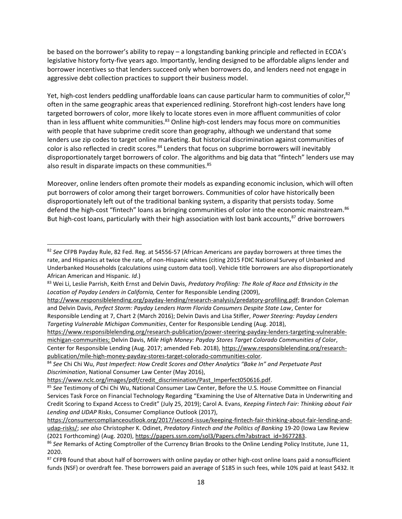be based on the borrower's ability to repay – a longstanding banking principle and reflected in ECOA's legislative history forty-five years ago. Importantly, lending designed to be affordable aligns lender and borrower incentives so that lenders succeed only when borrowers do, and lenders need not engage in aggressive debt collection practices to support their business model.

Yet, high-cost lenders peddling unaffordable loans can cause particular harm to communities of color,<sup>82</sup> often in the same geographic areas that experienced redlining. Storefront high-cost lenders have long targeted borrowers of color, more likely to locate stores even in more affluent communities of color than in less affluent white communities.<sup>83</sup> Online high-cost lenders may focus more on communities with people that have subprime credit score than geography, although we understand that some lenders use zip codes to target online marketing. But historical discrimination against communities of color is also reflected in credit scores.<sup>84</sup> Lenders that focus on subprime borrowers will inevitably disproportionately target borrowers of color. The algorithms and big data that "fintech" lenders use may also result in disparate impacts on these communities.<sup>85</sup>

Moreover, online lenders often promote their models as expanding economic inclusion, which will often put borrowers of color among their target borrowers. Communities of color have historically been disproportionately left out of the traditional banking system, a disparity that persists today. Some defend the high-cost "fintech" loans as bringing communities of color into the economic mainstream.<sup>86</sup> But high-cost loans, particularly with their high association with lost bank accounts,<sup>87</sup> drive borrowers

<sup>82</sup> *See* CFPB Payday Rule, 82 Fed. Reg. at 54556-57 (African Americans are payday borrowers at three times the rate, and Hispanics at twice the rate, of non-Hispanic whites (citing 2015 FDIC National Survey of Unbanked and Underbanked Households (calculations using custom data tool). Vehicle title borrowers are also disproportionately African American and Hispanic. *Id*.)

<sup>83</sup> Wei Li, Leslie Parrish, Keith Ernst and Delvin Davis, *Predatory Profiling: The Role of Race and Ethnicity in the Location of Payday Lenders in California,* Center for Responsible Lending (2009),

[http://www.responsiblelending.org/payday-lending/research-analysis/predatory-profiling.pdf;](http://www.responsiblelending.org/payday-lending/research-analysis/predatory-profiling.pdf) Brandon Coleman and Delvin Davis, *Perfect Storm: Payday Lenders Harm Florida Consumers Despite State Law*, Center for Responsible Lending at 7, Chart 2 (March 2016); Delvin Davis and Lisa Stifler, *Power Steering: Payday Lenders Targeting Vulnerable Michigan Communities*, Center for Responsible Lending (Aug. 2018),

[https://www.responsiblelending.org/research-publication/power-steering-payday-lenders-targeting-vulnerable](https://www.responsiblelending.org/research-publication/power-steering-payday-lenders-targeting-vulnerable-michigan-communities)[michigan-communities;](https://www.responsiblelending.org/research-publication/power-steering-payday-lenders-targeting-vulnerable-michigan-communities) Delvin Davis, *Mile High Money: Payday Stores Target Colorado Communities of Color*, Center for Responsible Lending (Aug. 2017; amended Feb. 2018), [https://www.responsiblelending.org/research](https://www.responsiblelending.org/research-publication/mile-high-money-payday-stores-target-colorado-communities-color)[publication/mile-high-money-payday-stores-target-colorado-communities-color.](https://www.responsiblelending.org/research-publication/mile-high-money-payday-stores-target-colorado-communities-color)

<sup>84</sup> *See* Chi Chi Wu, *Past Imperfect: How Credit Scores and Other Analytics "Bake In" and Perpetuate Past Discrimination*, National Consumer Law Center (May 2016),

[https://www.nclc.org/images/pdf/credit\\_discrimination/Past\\_Imperfect050616.pdf.](https://www.nclc.org/images/pdf/credit_discrimination/Past_Imperfect050616.pdf)

<sup>85</sup> *See* Testimony of Chi Chi Wu, National Consumer Law Center, Before the U.S. House Committee on Financial Services Task Force on Financial Technology Regarding "Examining the Use of Alternative Data in Underwriting and Credit Scoring to Expand Access to Credit" (July 25, 2019); Carol A. Evans, *Keeping Fintech Fair: Thinking about Fair Lending and UDAP* Risks, Consumer Compliance Outlook (2017),

[https://consumercomplianceoutlook.org/2017/second-issue/keeping-fintech-fair-thinking-about-fair-lending-and](https://consumercomplianceoutlook.org/2017/second-issue/keeping-fintech-fair-thinking-about-fair-lending-and-udap-risks/)[udap-risks/;](https://consumercomplianceoutlook.org/2017/second-issue/keeping-fintech-fair-thinking-about-fair-lending-and-udap-risks/) *see also* Christopher K. Odinet, *Predatory Fintech and the Politics of Banking* 19-20 (Iowa Law Review (2021 Forthcoming) (Aug. 2020), [https://papers.ssrn.com/sol3/Papers.cfm?abstract\\_id=3677283.](https://papers.ssrn.com/sol3/Papers.cfm?abstract_id=3677283)

<sup>86</sup> *See* Remarks of Acting Comptroller of the Currency Brian Brooks to the Online Lending Policy Institute, June 11, 2020.

 $87$  CFPB found that about half of borrowers with online payday or other high-cost online loans paid a nonsufficient funds (NSF) or overdraft fee. These borrowers paid an average of \$185 in such fees, while 10% paid at least \$432. It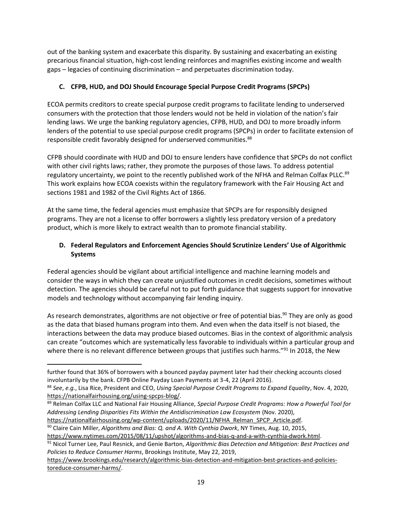out of the banking system and exacerbate this disparity. By sustaining and exacerbating an existing precarious financial situation, high-cost lending reinforces and magnifies existing income and wealth gaps – legacies of continuing discrimination – and perpetuates discrimination today.

## **C. CFPB, HUD, and DOJ Should Encourage Special Purpose Credit Programs (SPCPs)**

ECOA permits creditors to create special purpose credit programs to facilitate lending to underserved consumers with the protection that those lenders would not be held in violation of the nation's fair lending laws. We urge the banking regulatory agencies, CFPB, HUD, and DOJ to more broadly inform lenders of the potential to use special purpose credit programs (SPCPs) in order to facilitate extension of responsible credit favorably designed for underserved communities.<sup>88</sup>

CFPB should coordinate with HUD and DOJ to ensure lenders have confidence that SPCPs do not conflict with other civil rights laws; rather, they promote the purposes of those laws. To address potential regulatory uncertainty, we point to the recently published work of the NFHA and Relman Colfax PLLC.<sup>89</sup> This work explains how ECOA coexists within the regulatory framework with the Fair Housing Act and sections 1981 and 1982 of the Civil Rights Act of 1866.

At the same time, the federal agencies must emphasize that SPCPs are for responsibly designed programs. They are not a license to offer borrowers a slightly less predatory version of a predatory product, which is more likely to extract wealth than to promote financial stability.

## **D. Federal Regulators and Enforcement Agencies Should Scrutinize Lenders' Use of Algorithmic Systems**

Federal agencies should be vigilant about artificial intelligence and machine learning models and consider the ways in which they can create unjustified outcomes in credit decisions, sometimes without detection. The agencies should be careful not to put forth guidance that suggests support for innovative models and technology without accompanying fair lending inquiry.

As research demonstrates, algorithms are not objective or free of potential bias.<sup>90</sup> They are only as good as the data that biased humans program into them. And even when the data itself is not biased, the interactions between the data may produce biased outcomes. Bias in the context of algorithmic analysis can create "outcomes which are systematically less favorable to individuals within a particular group and where there is no relevant difference between groups that justifies such harms."<sup>91</sup> In 2018, the New

<sup>89</sup> Relman Colfax LLC and National Fair Housing Alliance, *Special Purpose Credit Programs: How a Powerful Tool for Addressing Lending Disparities Fits Within the Antidiscrimination Law Ecosystem* (Nov. 2020),

[https://nationalfairhousing.org/wp-content/uploads/2020/11/NFHA\\_Relman\\_SPCP\\_Article.pdf.](https://nationalfairhousing.org/wp-content/uploads/2020/11/NFHA_Relman_SPCP_Article.pdf)

<sup>90</sup> Claire Cain Miller, *Algorithms and Bias: Q. and A. With Cynthia Dwork*, NY Times, Aug. 10, 2015, [https://www.nytimes.com/2015/08/11/upshot/algorithms-and-bias-q-and-a-with-cynthia-dwork.html.](https://www.nytimes.com/2015/08/11/upshot/algorithms-and-bias-q-and-a-with-cynthia-dwork.html)

<sup>91</sup> Nicol Turner Lee, Paul Resnick, and Genie Barton, *Algorithmic Bias Detection and Mitigation: Best Practices and Policies to Reduce Consumer Harms*, Brookings Institute, May 22, 2019,

[https://www.brookings.edu/research/algorithmic-bias-detection-and-mitigation-best-practices-and-policies](https://www.brookings.edu/research/algorithmic-bias-detection-and-mitigation-best-practices-and-policies-toreduce-consumer-harms/)[toreduce-consumer-harms/.](https://www.brookings.edu/research/algorithmic-bias-detection-and-mitigation-best-practices-and-policies-toreduce-consumer-harms/)

further found that 36% of borrowers with a bounced payday payment later had their checking accounts closed involuntarily by the bank. CFPB Online Payday Loan Payments at 3-4, 22 (April 2016).

<sup>88</sup> *See*, *e.g.*, Lisa Rice, President and CEO, *Using Special Purpose Credit Programs to Expand Equality*, Nov. 4, 2020, [https://nationalfairhousing.org/using-spcps-blog/.](https://nationalfairhousing.org/using-spcps-blog/)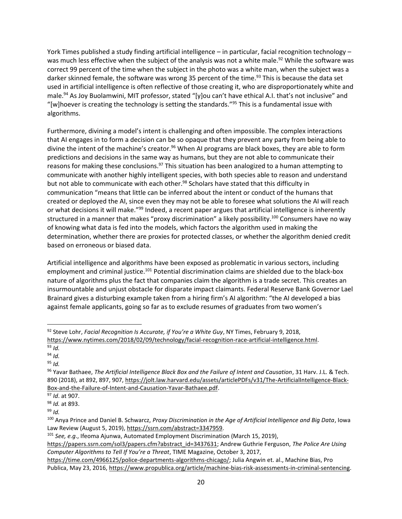York Times published a study finding artificial intelligence – in particular, facial recognition technology – was much less effective when the subject of the analysis was not a white male.<sup>92</sup> While the software was correct 99 percent of the time when the subject in the photo was a white man, when the subject was a darker skinned female, the software was wrong 35 percent of the time.<sup>93</sup> This is because the data set used in artificial intelligence is often reflective of those creating it, who are disproportionately white and male.<sup>94</sup> As Joy Buolamwini, MIT professor, stated "[y]ou can't have ethical A.I. that's not inclusive" and "[w]hoever is creating the technology is setting the standards."<sup>95</sup> This is a fundamental issue with algorithms.

Furthermore, divining a model's intent is challenging and often impossible. The complex interactions that AI engages in to form a decision can be so opaque that they prevent any party from being able to divine the intent of the machine's creator.<sup>96</sup> When AI programs are black boxes, they are able to form predictions and decisions in the same way as humans, but they are not able to communicate their reasons for making these conclusions.<sup>97</sup> This situation has been analogized to a human attempting to communicate with another highly intelligent species, with both species able to reason and understand but not able to communicate with each other.<sup>98</sup> Scholars have stated that this difficulty in communication "means that little can be inferred about the intent or conduct of the humans that created or deployed the AI, since even they may not be able to foresee what solutions the AI will reach or what decisions it will make."<sup>99</sup> Indeed, a recent paper argues that artificial intelligence is inherently structured in a manner that makes "proxy discrimination" a likely possibility.<sup>100</sup> Consumers have no way of knowing what data is fed into the models, which factors the algorithm used in making the determination, whether there are proxies for protected classes, or whether the algorithm denied credit based on erroneous or biased data.

Artificial intelligence and algorithms have been exposed as problematic in various sectors, including employment and criminal justice.<sup>101</sup> Potential discrimination claims are shielded due to the black-box nature of algorithms plus the fact that companies claim the algorithm is a trade secret. This creates an insurmountable and unjust obstacle for disparate impact claimants. Federal Reserve Bank Governor Lael Brainard gives a disturbing example taken from a hiring firm's AI algorithm: "the AI developed a bias against female applicants, going so far as to exclude resumes of graduates from two women's

<sup>92</sup> Steve Lohr, *Facial Recognition Is Accurate, if You're a White Guy*, NY Times, February 9, 2018, [https://www.nytimes.com/2018/02/09/technology/facial-recognition-race-artificial-intelligence.html.](https://www.nytimes.com/2018/02/09/technology/facial-recognition-race-artificial-intelligence.html)

 $93$  *Id.* 

<sup>94</sup> *Id.* 

<sup>95</sup> *Id.*

<sup>96</sup> Yavar Bathaee, *The Artificial Intelligence Black Box and the Failure of Intent and Causation*, 31 Harv. J.L. & Tech. 890 (2018), at 892, 897, 907, [https://jolt.law.harvard.edu/assets/articlePDFs/v31/The-ArtificialIntelligence-Black-](https://jolt.law.harvard.edu/assets/articlePDFs/v31/The-ArtificialIntelligence-Black-Box-and-the-Failure-of-Intent-and-Causation-Yavar-Bathaee.pdf)[Box-and-the-Failure-of-Intent-and-Causation-Yavar-Bathaee.pdf.](https://jolt.law.harvard.edu/assets/articlePDFs/v31/The-ArtificialIntelligence-Black-Box-and-the-Failure-of-Intent-and-Causation-Yavar-Bathaee.pdf)

<sup>97</sup> *Id*. at 907.

<sup>98</sup> *Id.* at 893.

<sup>99</sup> *Id.* 

<sup>100</sup> Anya Prince and Daniel B. Schwarcz, *Proxy Discrimination in the Age of Artificial Intelligence and Big Data*, Iowa Law Review (August 5, 2019), [https://ssrn.com/abstract=3347959.](https://ssrn.com/abstract=3347959)

<sup>101</sup> *See, e.g*., Ifeoma Ajunwa, Automated Employment Discrimination (March 15, 2019),

[https://papers.ssrn.com/sol3/papers.cfm?abstract\\_id=3437631;](https://papers.ssrn.com/sol3/papers.cfm?abstract_id=3437631) Andrew Guthrie Ferguson, *The Police Are Using Computer Algorithms to Tell If You're a Threat*, TIME Magazine, October 3, 2017,

[https://time.com/4966125/police-departments-algorithms-chicago/;](https://time.com/4966125/police-departments-algorithms-chicago/) Julia Angwin et. al., Machine Bias, Pro Publica, May 23, 2016, [https://www.propublica.org/article/machine-bias-risk-assessments-in-criminal-sentencing.](https://www.propublica.org/article/machine-bias-risk-assessments-in-criminal-sentencing)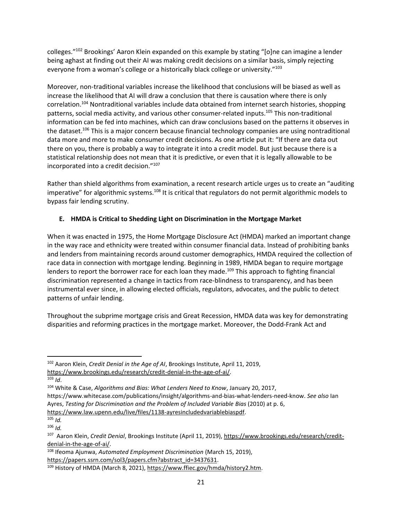colleges."<sup>102</sup> Brookings' Aaron Klein expanded on this example by stating "[o]ne can imagine a lender being aghast at finding out their AI was making credit decisions on a similar basis, simply rejecting everyone from a woman's college or a historically black college or university."<sup>103</sup>

Moreover, non-traditional variables increase the likelihood that conclusions will be biased as well as increase the likelihood that AI will draw a conclusion that there is causation where there is only correlation.<sup>104</sup> Nontraditional variables include data obtained from internet search histories, shopping patterns, social media activity, and various other consumer-related inputs.<sup>105</sup> This non-traditional information can be fed into machines, which can draw conclusions based on the patterns it observes in the dataset.<sup>106</sup> This is a major concern because financial technology companies are using nontraditional data more and more to make consumer credit decisions. As one article put it: "If there are data out there on you, there is probably a way to integrate it into a credit model. But just because there is a statistical relationship does not mean that it is predictive, or even that it is legally allowable to be incorporated into a credit decision."<sup>107</sup>

Rather than shield algorithms from examination, a recent research article urges us to create an "auditing imperative" for algorithmic systems.<sup>108</sup> It is critical that regulators do not permit algorithmic models to bypass fair lending scrutiny.

## **E. HMDA is Critical to Shedding Light on Discrimination in the Mortgage Market**

When it was enacted in 1975, the Home Mortgage Disclosure Act (HMDA) marked an important change in the way race and ethnicity were treated within consumer financial data. Instead of prohibiting banks and lenders from maintaining records around customer demographics, HMDA required the collection of race data in connection with mortgage lending. Beginning in 1989, HMDA began to require mortgage lenders to report the borrower race for each loan they made.<sup>109</sup> This approach to fighting financial discrimination represented a change in tactics from race-blindness to transparency, and has been instrumental ever since, in allowing elected officials, regulators, advocates, and the public to detect patterns of unfair lending.

Throughout the subprime mortgage crisis and Great Recession, HMDA data was key for demonstrating disparities and reforming practices in the mortgage market. Moreover, the Dodd-Frank Act and

[https://www.brookings.edu/research/credit-denial-in-the-age-of-ai/.](https://www.brookings.edu/research/credit-denial-in-the-age-of-ai/)

<sup>102</sup> Aaron Klein, *Credit Denial in the Age of AI*, Brookings Institute, April 11, 2019,

<sup>103</sup> *Id*.

<sup>104</sup> White & Case, *Algorithms and Bias: What Lenders Need to Know*, January 20, 2017,

https://www.whitecase.com/publications/insight/algorithms-and-bias-what-lenders-need-know. *See also* Ian Ayres, *Testing for Discrimination and the Problem of Included Variable Bias* (2010) at p. 6,

[https://www.law.upenn.edu/live/files/1138-ayresincludedvariablebiaspdf.](https://www.law.upenn.edu/live/files/1138-ayresincludedvariablebiaspdf)

<sup>105</sup> *Id.*

<sup>106</sup> *Id.*

<sup>&</sup>lt;sup>107</sup> Aaron Klein, *Credit Denial*, Brookings Institute (April 11, 2019), [https://www.brookings.edu/research/credit](https://www.brookings.edu/research/credit-denial-in-the-age-of-ai/)[denial-in-the-age-of-ai/.](https://www.brookings.edu/research/credit-denial-in-the-age-of-ai/)

<sup>108</sup> Ifeoma Ajunwa, *Automated Employment Discrimination* (March 15, 2019), [https://papers.ssrn.com/sol3/papers.cfm?abstract\\_id=3437631.](https://papers.ssrn.com/sol3/papers.cfm?abstract_id=3437631)

<sup>109</sup> History of HMDA (March 8, 2021), [https://www.ffiec.gov/hmda/history2.htm.](https://www.ffiec.gov/hmda/history2.htm)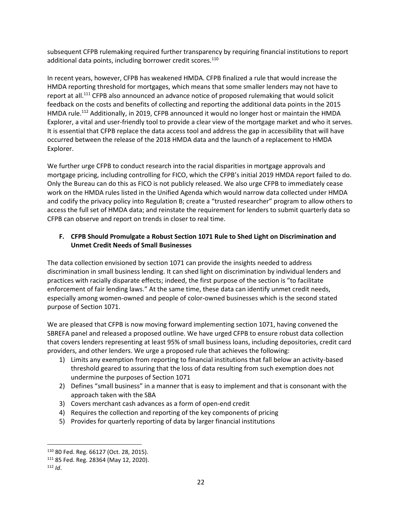subsequent CFPB rulemaking required further transparency by requiring financial institutions to report additional data points, including borrower credit scores.<sup>110</sup>

In recent years, however, CFPB has weakened HMDA. CFPB finalized a rule that would increase the HMDA reporting threshold for mortgages, which means that some smaller lenders may not have to report at all.<sup>111</sup> CFPB also announced an advance notice of proposed rulemaking that would solicit feedback on the costs and benefits of collecting and reporting the additional data points in the 2015 HMDA rule.<sup>112</sup> Additionally, in 2019, CFPB announced it would no longer host or maintain the HMDA Explorer, a vital and user-friendly tool to provide a clear view of the mortgage market and who it serves. It is essential that CFPB replace the data access tool and address the gap in accessibility that will have occurred between the release of the 2018 HMDA data and the launch of a replacement to HMDA Explorer.

We further urge CFPB to conduct research into the racial disparities in mortgage approvals and mortgage pricing, including controlling for FICO, which the CFPB's initial 2019 HMDA report failed to do. Only the Bureau can do this as FICO is not publicly released. We also urge CFPB to immediately cease work on the HMDA rules listed in the Unified Agenda which would narrow data collected under HMDA and codify the privacy policy into Regulation B; create a "trusted researcher" program to allow others to access the full set of HMDA data; and reinstate the requirement for lenders to submit quarterly data so CFPB can observe and report on trends in closer to real time.

## **F. CFPB Should Promulgate a Robust Section 1071 Rule to Shed Light on Discrimination and Unmet Credit Needs of Small Businesses**

The data collection envisioned by section 1071 can provide the insights needed to address discrimination in small business lending. It can shed light on discrimination by individual lenders and practices with racially disparate effects; indeed, the first purpose of the section is "to facilitate enforcement of fair lending laws." At the same time, these data can identify unmet credit needs, especially among women-owned and people of color-owned businesses which is the second stated purpose of Section 1071.

We are pleased that CFPB is now moving forward implementing section 1071, having convened the SBREFA panel and released a proposed outline. We have urged CFPB to ensure robust data collection that covers lenders representing at least 95% of small business loans, including depositories, credit card providers, and other lenders. We urge a proposed rule that achieves the following:

- 1) Limits any exemption from reporting to financial institutions that fall below an activity-based threshold geared to assuring that the loss of data resulting from such exemption does not undermine the purposes of Section 1071
- 2) Defines "small business" in a manner that is easy to implement and that is consonant with the approach taken with the SBA
- 3) Covers merchant cash advances as a form of open-end credit
- 4) Requires the collection and reporting of the key components of pricing
- 5) Provides for quarterly reporting of data by larger financial institutions

<sup>110</sup> 80 Fed. Reg. 66127 (Oct. 28, 2015).

<sup>111</sup> 85 Fed. Reg. 28364 (May 12, 2020).

 $112$  *Id.*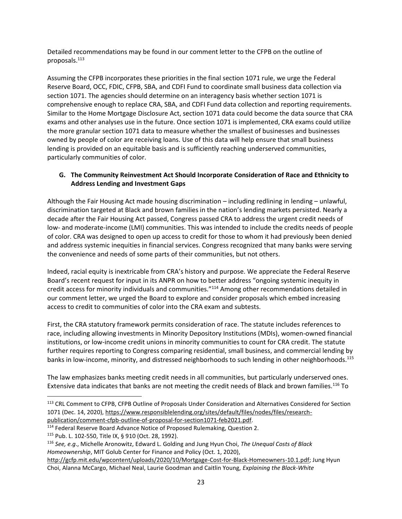Detailed recommendations may be found in our comment letter to the CFPB on the outline of proposals.<sup>113</sup>

Assuming the CFPB incorporates these priorities in the final section 1071 rule, we urge the Federal Reserve Board, OCC, FDIC, CFPB, SBA, and CDFI Fund to coordinate small business data collection via section 1071. The agencies should determine on an interagency basis whether section 1071 is comprehensive enough to replace CRA, SBA, and CDFI Fund data collection and reporting requirements. Similar to the Home Mortgage Disclosure Act, section 1071 data could become the data source that CRA exams and other analyses use in the future. Once section 1071 is implemented, CRA exams could utilize the more granular section 1071 data to measure whether the smallest of businesses and businesses owned by people of color are receiving loans. Use of this data will help ensure that small business lending is provided on an equitable basis and is sufficiently reaching underserved communities, particularly communities of color.

## **G. The Community Reinvestment Act Should Incorporate Consideration of Race and Ethnicity to Address Lending and Investment Gaps**

Although the Fair Housing Act made housing discrimination – including redlining in lending – unlawful, discrimination targeted at Black and brown families in the nation's lending markets persisted. Nearly a decade after the Fair Housing Act passed, Congress passed CRA to address the urgent credit needs of low- and moderate-income (LMI) communities. This was intended to include the credits needs of people of color. CRA was designed to open up access to credit for those to whom it had previously been denied and address systemic inequities in financial services. Congress recognized that many banks were serving the convenience and needs of some parts of their communities, but not others.

Indeed, racial equity is inextricable from CRA's history and purpose. We appreciate the Federal Reserve Board's recent request for input in its ANPR on how to better address "ongoing systemic inequity in credit access for minority individuals and communities."<sup>114</sup> Among other recommendations detailed in our comment letter, we urged the Board to explore and consider proposals which embed increasing access to credit to communities of color into the CRA exam and subtests.

First, the CRA statutory framework permits consideration of race. The statute includes references to race, including allowing investments in Minority Depository Institutions (MDIs), women-owned financial institutions, or low-income credit unions in minority communities to count for CRA credit. The statute further requires reporting to Congress comparing residential, small business, and commercial lending by banks in low-income, minority, and distressed neighborhoods to such lending in other neighborhoods.<sup>115</sup>

The law emphasizes banks meeting credit needs in all communities, but particularly underserved ones. Extensive data indicates that banks are not meeting the credit needs of Black and brown families.<sup>116</sup> To

<sup>&</sup>lt;sup>113</sup> CRL Comment to CFPB, CFPB Outline of Proposals Under Consideration and Alternatives Considered for Section 1071 (Dec. 14, 2020)[, https://www.responsiblelending.org/sites/default/files/nodes/files/research](https://www.responsiblelending.org/sites/default/files/nodes/files/research-publication/comment-cfpb-outline-of-proposal-for-section1071-feb2021.pdf)[publication/comment-cfpb-outline-of-proposal-for-section1071-feb2021.pdf.](https://www.responsiblelending.org/sites/default/files/nodes/files/research-publication/comment-cfpb-outline-of-proposal-for-section1071-feb2021.pdf) 

<sup>&</sup>lt;sup>114</sup> Federal Reserve Board Advance Notice of Proposed Rulemaking, Question 2.

<sup>115</sup> Pub. L. 102-550, Title IX, § 910 (Oct. 28, 1992).

<sup>116</sup> *See, e.g*., Michelle Aronowitz, Edward L. Golding and Jung Hyun Choi, *The Unequal Costs of Black Homeownership*, MIT Golub Center for Finance and Policy (Oct. 1, 2020),

[http://gcfp.mit.edu/wpcontent/uploads/2020/10/Mortgage-Cost-for-Black-Homeowners-10.1.pdf;](http://gcfp.mit.edu/wpcontent/uploads/2020/10/Mortgage-Cost-for-Black-Homeowners-10.1.pdf) Jung Hyun Choi, Alanna McCargo, Michael Neal, Laurie Goodman and Caitlin Young, *Explaining the Black-White*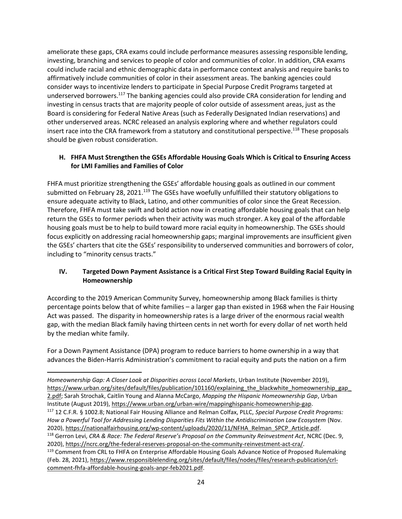ameliorate these gaps, CRA exams could include performance measures assessing responsible lending, investing, branching and services to people of color and communities of color. In addition, CRA exams could include racial and ethnic demographic data in performance context analysis and require banks to affirmatively include communities of color in their assessment areas. The banking agencies could consider ways to incentivize lenders to participate in Special Purpose Credit Programs targeted at underserved borrowers.<sup>117</sup> The banking agencies could also provide CRA consideration for lending and investing in census tracts that are majority people of color outside of assessment areas, just as the Board is considering for Federal Native Areas (such as Federally Designated Indian reservations) and other underserved areas. NCRC released an analysis exploring where and whether regulators could insert race into the CRA framework from a statutory and constitutional perspective.<sup>118</sup> These proposals should be given robust consideration.

### **H. FHFA Must Strengthen the GSEs Affordable Housing Goals Which is Critical to Ensuring Access for LMI Families and Families of Color**

FHFA must prioritize strengthening the GSEs' affordable housing goals as outlined in our comment submitted on February 28, 2021.<sup>119</sup> The GSEs have woefully unfulfilled their statutory obligations to ensure adequate activity to Black, Latino, and other communities of color since the Great Recession. Therefore, FHFA must take swift and bold action now in creating affordable housing goals that can help return the GSEs to former periods when their activity was much stronger. A key goal of the affordable housing goals must be to help to build toward more racial equity in homeownership. The GSEs should focus explicitly on addressing racial homeownership gaps; marginal improvements are insufficient given the GSEs' charters that cite the GSEs' responsibility to underserved communities and borrowers of color, including to "minority census tracts."

### **IV. Targeted Down Payment Assistance is a Critical First Step Toward Building Racial Equity in Homeownership**

According to the 2019 American Community Survey, homeownership among Black families is thirty percentage points below that of white families – a larger gap than existed in 1968 when the Fair Housing Act was passed. The disparity in homeownership rates is a large driver of the enormous racial wealth gap, with the median Black family having thirteen cents in net worth for every dollar of net worth held by the median white family.

For a Down Payment Assistance (DPA) program to reduce barriers to home ownership in a way that advances the Biden-Harris Administration's commitment to racial equity and puts the nation on a firm

*Homeownership Gap: A Closer Look at Disparities across Local Markets*, Urban Institute (November 2019), https://www.urban.org/sites/default/files/publication/101160/explaining\_the\_blackwhite\_homeownership\_gap\_ 2.pdf; Sarah Strochak, Caitlin Young and Alanna McCargo, *Mapping the Hispanic Homeownership Gap*, Urban Institute (August 2019), https://www.urban.org/urban-wire/mappinghispanic-homeownership-gap. <sup>117</sup> 12 C.F.R. § 1002.8; National Fair Housing Alliance and Relman Colfax, PLLC, *Special Purpose Credit Programs: How a Powerful Tool for Addressing Lending Disparities Fits Within the Antidiscrimination Law Ecosystem* (Nov. 2020), [https://nationalfairhousing.org/wp-content/uploads/2020/11/NFHA\\_Relman\\_SPCP\\_Article.pdf.](https://nationalfairhousing.org/wp-content/uploads/2020/11/NFHA_Relman_SPCP_Article.pdf) <sup>118</sup> Gerron Levi, *CRA & Race: The Federal Reserve's Proposal on the Community Reinvestment Act*, NCRC (Dec. 9, 2020), [https://ncrc.org/the-federal-reserves-proposal-on-the-community-reinvestment-act-cra/.](https://ncrc.org/the-federal-reserves-proposal-on-the-community-reinvestment-act-cra/) <sup>119</sup> Comment from CRL to FHFA on Enterprise Affordable Housing Goals Advance Notice of Proposed Rulemaking (Feb. 28, 2021)[, https://www.responsiblelending.org/sites/default/files/nodes/files/research-publication/crl](https://www.responsiblelending.org/sites/default/files/nodes/files/research-publication/crl-comment-fhfa-affordable-housing-goals-anpr-feb2021.pdf)[comment-fhfa-affordable-housing-goals-anpr-feb2021.pdf.](https://www.responsiblelending.org/sites/default/files/nodes/files/research-publication/crl-comment-fhfa-affordable-housing-goals-anpr-feb2021.pdf)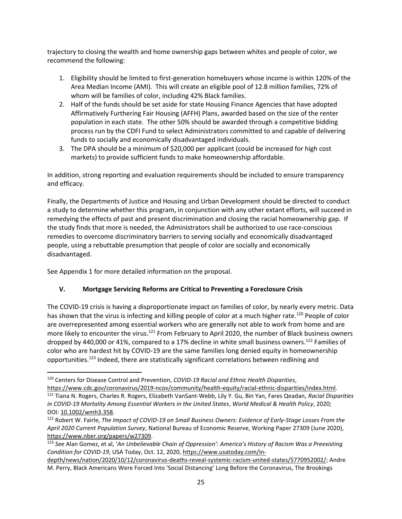trajectory to closing the wealth and home ownership gaps between whites and people of color, we recommend the following:

- 1. Eligibility should be limited to first-generation homebuyers whose income is within 120% of the Area Median Income (AMI). This will create an eligible pool of 12.8 million families, 72% of whom will be families of color, including 42% Black families.
- 2. Half of the funds should be set aside for state Housing Finance Agencies that have adopted Affirmatively Furthering Fair Housing (AFFH) Plans, awarded based on the size of the renter population in each state. The other 50% should be awarded through a competitive bidding process run by the CDFI Fund to select Administrators committed to and capable of delivering funds to socially and economically disadvantaged individuals.
- 3. The DPA should be a minimum of \$20,000 per applicant (could be increased for high cost markets) to provide sufficient funds to make homeownership affordable.

In addition, strong reporting and evaluation requirements should be included to ensure transparency and efficacy.

Finally, the Departments of Justice and Housing and Urban Development should be directed to conduct a study to determine whether this program, in conjunction with any other extant efforts, will succeed in remedying the effects of past and present discrimination and closing the racial homeownership gap. If the study finds that more is needed, the Administrators shall be authorized to use race-conscious remedies to overcome discriminatory barriers to serving socially and economically disadvantaged people, using a rebuttable presumption that people of color are socially and economically disadvantaged.

See Appendix 1 for more detailed information on the proposal.

# **V. Mortgage Servicing Reforms are Critical to Preventing a Foreclosure Crisis**

The COVID-19 crisis is having a disproportionate impact on families of color, by nearly every metric. Data has shown that the virus is infecting and killing people of color at a much higher rate.<sup>120</sup> People of color are overrepresented among essential workers who are generally not able to work from home and are more likely to encounter the virus.<sup>121</sup> From February to April 2020, the number of Black business owners dropped by 440,000 or 41%, compared to a 17% decline in white small business owners.<sup>122</sup> Families of color who are hardest hit by COVID-19 are the same families long denied equity in homeownership opportunities.<sup>123</sup> Indeed, there are statistically significant correlations between redlining and

<sup>120</sup> Centers for Disease Control and Prevention, *COVID-19 Racial and Ethnic Health Disparities*,

[https://www.cdc.gov/coronavirus/2019-ncov/community/health-equity/racial-ethnic-disparities/index.html.](https://www.cdc.gov/coronavirus/2019-ncov/community/health-equity/racial-ethnic-disparities/index.html)  <sup>121</sup> Tiana N. Rogers, Charles R. Rogers, Elizabeth VanSant‐Webb, Lily Y. Gu, Bin Yan, Fares Qeadan, *Racial Disparities in COVID‐19 Mortality Among Essential Workers in the United States*, *World Medical & Health Policy*, 2020; DOI: [10.1002/wmh3.358.](http://dx.doi.org/10.1002/wmh3.358)

<sup>122</sup> Robert W. Fairle, *The Impact of COVID-19 on Small Business Owners: Evidence of Early-Stage Losses From the April 2020 Current Population Survey*, National Bureau of Economic Reserve, Working Paper 27309 (June 2020), [https://www.nber.org/papers/w27309.](https://www.nber.org/papers/w27309) 

<sup>123</sup> *See* Alan Gomez, et al, '*An Unbelievable Chain of Oppression': America's History of Racism Was a Preexisting Condition for COVID-19*, USA Today, Oct. 12, 2020[, https://www.usatoday.com/in-](https://www.usatoday.com/in-depth/news/nation/2020/10/12/coronavirus-deaths-reveal-systemic-racism-united-states/5770952002/)

[depth/news/nation/2020/10/12/coronavirus-deaths-reveal-systemic-racism-united-states/5770952002/;](https://www.usatoday.com/in-depth/news/nation/2020/10/12/coronavirus-deaths-reveal-systemic-racism-united-states/5770952002/) Andre M. Perry, Black Americans Were Forced Into 'Social Distancing' Long Before the Coronavirus, The Brookings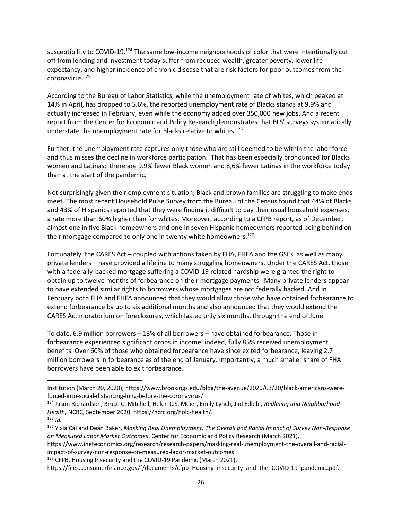susceptibility to COVID-19.<sup>124</sup> The same low-income neighborhoods of color that were intentionally cut off from lending and investment today suffer from reduced wealth, greater poverty, lower life expectancy, and higher incidence of chronic disease that are risk factors for poor outcomes from the coronavirus.<sup>125</sup>

According to the Bureau of Labor Statistics, while the unemployment rate of whites, which peaked at 14% in April, has dropped to 5.6%, the reported unemployment rate of Blacks stands at 9.9% and actually increased in February, even while the economy added over 350,000 new jobs. And a recent report from the Center for Economic and Policy Research demonstrates that BLS' surveys systematically understate the unemployment rate for Blacks relative to whites.<sup>126</sup>

Further, the unemployment rate captures only those who are still deemed to be within the labor force and thus misses the decline in workforce participation. That has been especially pronounced for Blacks women and Latinas: there are 9.9% fewer Black women and 8,6% fewer Latinas in the workforce today than at the start of the pandemic.

Not surprisingly given their employment situation, Black and brown families are struggling to make ends meet. The most recent Household Pulse Survey from the Bureau of the Census found that 44% of Blacks and 43% of Hispanics reported that they were finding it difficult to pay their usual household expenses, a rate more than 60% higher than for whites. Moreover, according to a CFPB report, as of December, almost one in five Black homeowners and one in seven Hispanic homeowners reported being behind on their mortgage compared to only one in twenty white homeowners.<sup>127</sup>

Fortunately, the CARES Act – coupled with actions taken by FHA, FHFA and the GSEs, as well as many private lenders – have provided a lifeline to many struggling homeowners. Under the CARES Act, those with a federally-backed mortgage suffering a COVID-19 related hardship were granted the right to obtain up to twelve months of forbearance on their mortgage payments. Many private lenders appear to have extended similar rights to borrowers whose mortgages are not federally backed. And in February both FHA and FHFA announced that they would allow those who have obtained forbearance to extend forbearance by up to six additional months and also announced that they would extend the CARES Act moratorium on foreclosures, which lasted only six months, through the end of June.

To date, 6.9 million borrowers – 13% of all borrowers – have obtained forbearance. Those in forbearance experienced significant drops in income; indeed, fully 85% received unemployment benefits. Over 60% of those who obtained forbearance have since exited forbearance, leaving 2.7 million borrowers in forbearance as of the end of January. Importantly, a much smaller share of FHA borrowers have been able to exit forbearance.

<sup>127</sup> CFPB, Housing Insecurity and the COVID-19 Pandemic (March 2021),

Institution (March 20, 2020), [https://www.brookings.edu/blog/the-avenue/2020/03/20/black-americans-were](https://www.brookings.edu/blog/the-avenue/2020/03/20/black-americans-were-forced-into-social-distancing-long-before-the-coronavirus/)[forced-into-social-distancing-long-before-the-coronavirus/.](https://www.brookings.edu/blog/the-avenue/2020/03/20/black-americans-were-forced-into-social-distancing-long-before-the-coronavirus/)

<sup>124</sup> Jason Richardson, Bruce C. Mitchell, Helen C.S. Meier, Emily Lynch, Jad Edlebi, *Redlining and Neighborhood Health*, NCRC, September 2020, [https://ncrc.org/holc-health/.](https://ncrc.org/holc-health/)

 $125$  *Id.* 

<sup>126</sup> Yixia Cai and Dean Baker, *Masking Real Unemployment: The Overall and Racial Impact of Survey Non-Response on Measured Labor Market Outcomes*, Center for Economic and Policy Research (March 2021),

[https://www.ineteconomics.org/research/research-papers/masking-real-unemployment-the-overall-and-racial](https://www.ineteconomics.org/research/research-papers/masking-real-unemployment-the-overall-and-racial-impact-of-survey-non-response-on-measured-labor-market-outcomes)[impact-of-survey-non-response-on-measured-labor-market-outcomes.](https://www.ineteconomics.org/research/research-papers/masking-real-unemployment-the-overall-and-racial-impact-of-survey-non-response-on-measured-labor-market-outcomes)

[https://files.consumerfinance.gov/f/documents/cfpb\\_Housing\\_insecurity\\_and\\_the\\_COVID-19\\_pandemic.pdf.](https://files.consumerfinance.gov/f/documents/cfpb_Housing_insecurity_and_the_COVID-19_pandemic.pdf)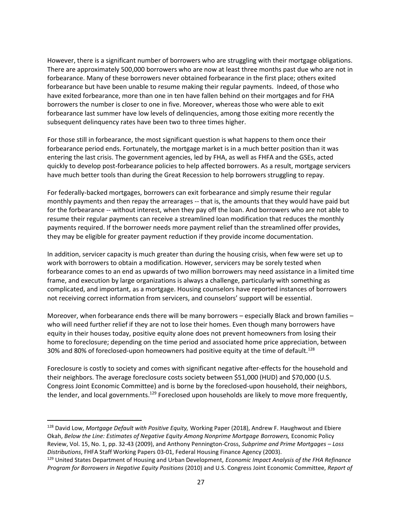However, there is a significant number of borrowers who are struggling with their mortgage obligations. There are approximately 500,000 borrowers who are now at least three months past due who are not in forbearance. Many of these borrowers never obtained forbearance in the first place; others exited forbearance but have been unable to resume making their regular payments. Indeed, of those who have exited forbearance, more than one in ten have fallen behind on their mortgages and for FHA borrowers the number is closer to one in five. Moreover, whereas those who were able to exit forbearance last summer have low levels of delinquencies, among those exiting more recently the subsequent delinquency rates have been two to three times higher.

For those still in forbearance, the most significant question is what happens to them once their forbearance period ends. Fortunately, the mortgage market is in a much better position than it was entering the last crisis. The government agencies, led by FHA, as well as FHFA and the GSEs, acted quickly to develop post-forbearance policies to help affected borrowers. As a result, mortgage servicers have much better tools than during the Great Recession to help borrowers struggling to repay.

For federally-backed mortgages, borrowers can exit forbearance and simply resume their regular monthly payments and then repay the arrearages -- that is, the amounts that they would have paid but for the forbearance -- without interest, when they pay off the loan. And borrowers who are not able to resume their regular payments can receive a streamlined loan modification that reduces the monthly payments required. If the borrower needs more payment relief than the streamlined offer provides, they may be eligible for greater payment reduction if they provide income documentation.

In addition, servicer capacity is much greater than during the housing crisis, when few were set up to work with borrowers to obtain a modification. However, servicers may be sorely tested when forbearance comes to an end as upwards of two million borrowers may need assistance in a limited time frame, and execution by large organizations is always a challenge, particularly with something as complicated, and important, as a mortgage. Housing counselors have reported instances of borrowers not receiving correct information from servicers, and counselors' support will be essential.

Moreover, when forbearance ends there will be many borrowers – especially Black and brown families – who will need further relief if they are not to lose their homes. Even though many borrowers have equity in their houses today, positive equity alone does not prevent homeowners from losing their home to foreclosure; depending on the time period and associated home price appreciation, between 30% and 80% of foreclosed-upon homeowners had positive equity at the time of default.<sup>128</sup>

Foreclosure is costly to society and comes with significant negative after-effects for the household and their neighbors. The average foreclosure costs society between \$51,000 (HUD) and \$70,000 (U.S. Congress Joint Economic Committee) and is borne by the foreclosed-upon household, their neighbors, the lender, and local governments.<sup>129</sup> Foreclosed upon households are likely to move more frequently,

<sup>128</sup> David Low, *Mortgage Default with Positive Equity,* Working Paper (2018), Andrew F. Haughwout and Ebiere Okah, *Below the Line: Estimates of Negative Equity Among Nonprime Mortgage Borrowers,* Economic Policy Review, Vol. 15, No. 1, pp. 32-43 (2009), and Anthony Pennington-Cross, *Subprime and Prime Mortgages – Loss Distributions*, [FHFA Staff Working Papers](https://ideas.repec.org/s/hfa/wpaper.html) 03-01, Federal Housing Finance Agency (2003).

<sup>129</sup> United States Department of Housing and Urban Development, *Economic Impact Analysis of the FHA Refinance Program for Borrowers in Negative Equity Positions* (2010) and U.S. Congress Joint Economic Committee, *Report of*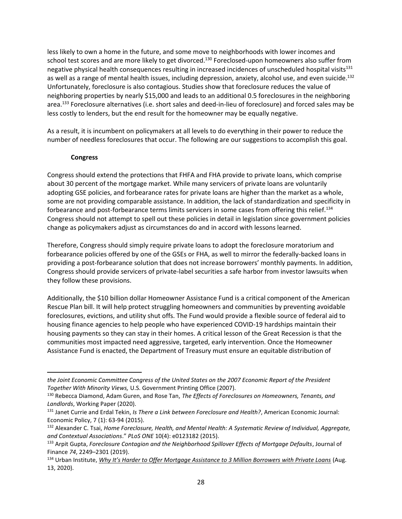less likely to own a home in the future, and some move to neighborhoods with lower incomes and school test scores and are more likely to get divorced.<sup>130</sup> Foreclosed-upon homeowners also suffer from negative physical health consequences resulting in increased incidences of unscheduled hospital visits<sup>131</sup> as well as a range of mental health issues, including depression, anxiety, alcohol use, and even suicide.<sup>132</sup> Unfortunately, foreclosure is also contagious. Studies show that foreclosure reduces the value of neighboring properties by nearly \$15,000 and leads to an additional 0.5 foreclosures in the neighboring area.<sup>133</sup> Foreclosure alternatives (i.e. short sales and deed-in-lieu of foreclosure) and forced sales may be less costly to lenders, but the end result for the homeowner may be equally negative.

As a result, it is incumbent on policymakers at all levels to do everything in their power to reduce the number of needless foreclosures that occur. The following are our suggestions to accomplish this goal.

#### **Congress**

Congress should extend the protections that FHFA and FHA provide to private loans, which comprise about 30 percent of the mortgage market. While many servicers of private loans are voluntarily adopting GSE policies, and forbearance rates for private loans are higher than the market as a whole, some are not providing comparable assistance. In addition, the lack of standardization and specificity in forbearance and post-forbearance terms limits servicers in some cases from offering this relief.<sup>134</sup> Congress should not attempt to spell out these policies in detail in legislation since government policies change as policymakers adjust as circumstances do and in accord with lessons learned.

Therefore, Congress should simply require private loans to adopt the foreclosure moratorium and forbearance policies offered by one of the GSEs or FHA, as well to mirror the federally-backed loans in providing a post-forbearance solution that does not increase borrowers' monthly payments. In addition, Congress should provide servicers of private-label securities a safe harbor from investor lawsuits when they follow these provisions.

Additionally, the \$10 billion dollar Homeowner Assistance Fund is a critical component of the American Rescue Plan bill. It will help protect struggling homeowners and communities by preventing avoidable foreclosures, evictions, and utility shut offs. The Fund would provide a flexible source of federal aid to housing finance agencies to help people who have experienced COVID-19 hardships maintain their housing payments so they can stay in their homes. A critical lesson of the Great Recession is that the communities most impacted need aggressive, targeted, early intervention. Once the Homeowner Assistance Fund is enacted, the Department of Treasury must ensure an equitable distribution of

*the Joint Economic Committee Congress of the United States on the 2007 Economic Report of the President Together With Minority Views,* U.S. Government Printing Office (2007).

<sup>130</sup> Rebecca Diamond, Adam Guren, and Rose Tan, *The Effects of Foreclosures on Homeowners, Tenants, and Landlords*, Working Paper (2020).

<sup>131</sup> Janet Currie and Erdal Tekin, *Is There a Link between Foreclosure and Health?*, American Economic Journal: Economic Policy, 7 (1): 63-94 (2015).

<sup>132</sup> Alexander C. Tsai, *Home Foreclosure, Health, and Mental Health: A Systematic Review of Individual, Aggregate, and Contextual Associations*." *PLoS ONE* 10(4): e0123182 (2015).

<sup>133</sup> Arpit Gupta, *Foreclosure Contagion and the Neighborhood Spillover Effects of Mortgage Defaults*, Journal of Finance *74*, 2249–2301 (2019).

<sup>134</sup> Urban Institute, *[Why It's Harder to Offer Mortgage Assistance to 3 Million Borrowers with Private Loans](https://www.urban.org/urban-wire/why-its-harder-offer-mortgage-assistance-3-million-borrowers-private-loans)* (Aug. 13, 2020).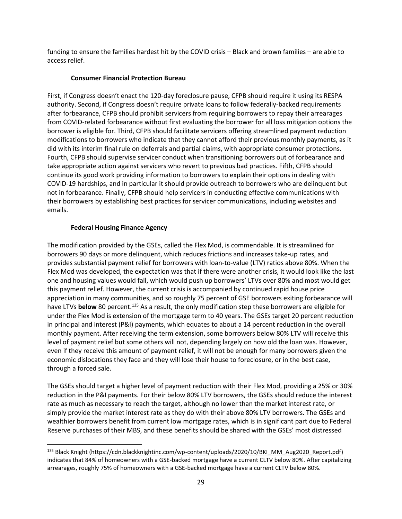funding to ensure the families hardest hit by the COVID crisis – Black and brown families – are able to access relief.

### **Consumer Financial Protection Bureau**

First, if Congress doesn't enact the 120-day foreclosure pause, CFPB should require it using its RESPA authority. Second, if Congress doesn't require private loans to follow federally-backed requirements after forbearance, CFPB should prohibit servicers from requiring borrowers to repay their arrearages from COVID-related forbearance without first evaluating the borrower for all loss mitigation options the borrower is eligible for. Third, CFPB should facilitate servicers offering streamlined payment reduction modifications to borrowers who indicate that they cannot afford their previous monthly payments, as it did with its interim final rule on deferrals and partial claims, with appropriate consumer protections. Fourth, CFPB should supervise servicer conduct when transitioning borrowers out of forbearance and take appropriate action against servicers who revert to previous bad practices. Fifth, CFPB should continue its good work providing information to borrowers to explain their options in dealing with COVID-19 hardships, and in particular it should provide outreach to borrowers who are delinquent but not in forbearance. Finally, CFPB should help servicers in conducting effective communications with their borrowers by establishing best practices for servicer communications, including websites and emails.

### **Federal Housing Finance Agency**

The modification provided by the GSEs, called the Flex Mod, is commendable. It is streamlined for borrowers 90 days or more delinquent, which reduces frictions and increases take-up rates, and provides substantial payment relief for borrowers with loan-to-value (LTV) ratios above 80%. When the Flex Mod was developed, the expectation was that if there were another crisis, it would look like the last one and housing values would fall, which would push up borrowers' LTVs over 80% and most would get this payment relief. However, the current crisis is accompanied by continued rapid house price appreciation in many communities, and so roughly 75 percent of GSE borrowers exiting forbearance will have LTVs **below** 80 percent.<sup>135</sup> As a result, the only modification step these borrowers are eligible for under the Flex Mod is extension of the mortgage term to 40 years. The GSEs target 20 percent reduction in principal and interest (P&I) payments, which equates to about a 14 percent reduction in the overall monthly payment. After receiving the term extension, some borrowers below 80% LTV will receive this level of payment relief but some others will not, depending largely on how old the loan was. However, even if they receive this amount of payment relief, it will not be enough for many borrowers given the economic dislocations they face and they will lose their house to foreclosure, or in the best case, through a forced sale.

The GSEs should target a higher level of payment reduction with their Flex Mod, providing a 25% or 30% reduction in the P&I payments. For their below 80% LTV borrowers, the GSEs should reduce the interest rate as much as necessary to reach the target, although no lower than the market interest rate, or simply provide the market interest rate as they do with their above 80% LTV borrowers. The GSEs and wealthier borrowers benefit from current low mortgage rates, which is in significant part due to Federal Reserve purchases of their MBS, and these benefits should be shared with the GSEs' most distressed

<sup>135</sup> Black Knight [\(https://cdn.blackknightinc.com/wp-content/uploads/2020/10/BKI\\_MM\\_Aug2020\\_Report.pdf\)](https://cdn.blackknightinc.com/wp-content/uploads/2020/10/BKI_MM_Aug2020_Report.pdf) indicates that 84% of homeowners with a GSE-backed mortgage have a current CLTV below 80%. After capitalizing arrearages, roughly 75% of homeowners with a GSE-backed mortgage have a current CLTV below 80%.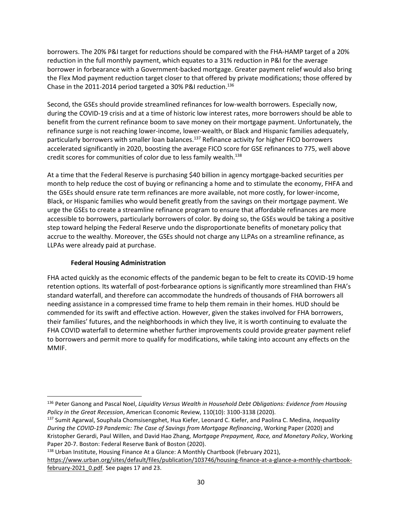borrowers. The 20% P&I target for reductions should be compared with the FHA-HAMP target of a 20% reduction in the full monthly payment, which equates to a 31% reduction in P&I for the average borrower in forbearance with a Government-backed mortgage. Greater payment relief would also bring the Flex Mod payment reduction target closer to that offered by private modifications; those offered by Chase in the 2011-2014 period targeted a 30% P&I reduction.<sup>136</sup>

Second, the GSEs should provide streamlined refinances for low-wealth borrowers. Especially now, during the COVID-19 crisis and at a time of historic low interest rates, more borrowers should be able to benefit from the current refinance boom to save money on their mortgage payment. Unfortunately, the refinance surge is not reaching lower-income, lower-wealth, or Black and Hispanic families adequately, particularly borrowers with smaller loan balances.<sup>137</sup> Refinance activity for higher FICO borrowers accelerated significantly in 2020, boosting the average FICO score for GSE refinances to 775, well above credit scores for communities of color due to less family wealth.<sup>138</sup>

At a time that the Federal Reserve is purchasing \$40 billion in agency mortgage-backed securities per month to help reduce the cost of buying or refinancing a home and to stimulate the economy, FHFA and the GSEs should ensure rate term refinances are more available, not more costly, for lower-income, Black, or Hispanic families who would benefit greatly from the savings on their mortgage payment. We urge the GSEs to create a streamline refinance program to ensure that affordable refinances are more accessible to borrowers, particularly borrowers of color. By doing so, the GSEs would be taking a positive step toward helping the Federal Reserve undo the disproportionate benefits of monetary policy that accrue to the wealthy. Moreover, the GSEs should not charge any LLPAs on a streamline refinance, as LLPAs were already paid at purchase.

### **Federal Housing Administration**

FHA acted quickly as the economic effects of the pandemic began to be felt to create its COVID-19 home retention options. Its waterfall of post-forbearance options is significantly more streamlined than FHA's standard waterfall, and therefore can accommodate the hundreds of thousands of FHA borrowers all needing assistance in a compressed time frame to help them remain in their homes. HUD should be commended for its swift and effective action. However, given the stakes involved for FHA borrowers, their families' futures, and the neighborhoods in which they live, it is worth continuing to evaluate the FHA COVID waterfall to determine whether further improvements could provide greater payment relief to borrowers and permit more to qualify for modifications, while taking into account any effects on the MMIF.

138 Urban Institute[,](https://www.urban.org/sites/default/files/publication/103746/housing-finance-at-a-glance-a-monthly-chartbook-february-2021_0.pdf) Housing Finance At a Glance: A Monthly Chartbook (February 2021),

<sup>136</sup> Peter Ganong and Pascal Noel, *Liquidity Versus Wealth in Household Debt Obligations: Evidence from Housing Policy in the Great Recession*, American Economic Review, 110(10): 3100-3138 (2020).

<sup>137</sup> Sumit Agarwal, Souphala Chomsisengphet, Hua Kiefer, Leonard C. Kiefer, and Paolina C. Medina, *Inequality During the COVID-19 Pandemic: The Case of Savings from Mortgage Refinancing*, Working Paper (2020) and Kristopher Gerardi, Paul Willen, and David Hao Zhang, *Mortgage Prepayment, Race, and Monetary Policy*, Working Paper 20-7. Boston: Federal Reserve Bank of Boston (2020).

[https://www.urban.org/sites/default/files/publication/103746/housing-finance-at-a-glance-a-monthly-chartbook](https://www.urban.org/sites/default/files/publication/103746/housing-finance-at-a-glance-a-monthly-chartbook-february-2021_0.pdf)february-2021 0.pdf. See pages 17 and 23.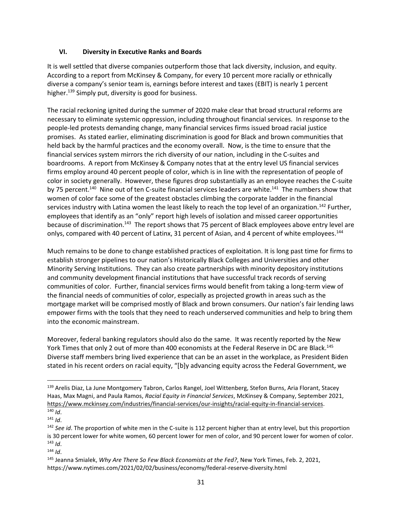#### **VI. Diversity in Executive Ranks and Boards**

It is well settled that diverse companies outperform those that lack diversity, inclusion, and equity. According to a report from McKinsey & Company, for every 10 percent more racially or ethnically diverse a company's senior team is, earnings before interest and taxes (EBIT) is nearly 1 percent higher.<sup>139</sup> Simply put, diversity is good for business.

The racial reckoning ignited during the summer of 2020 make clear that broad structural reforms are necessary to eliminate systemic oppression, including throughout financial services. In response to the people-led protests demanding change, many financial services firms issued broad racial justice promises. As stated earlier, eliminating discrimination is good for Black and brown communities that held back by the harmful practices and the economy overall. Now, is the time to ensure that the financial services system mirrors the rich diversity of our nation, including in the C-suites and boardrooms. A report from McKinsey & Company notes that at the entry level US financial services firms employ around 40 percent people of color, which is in line with the representation of people of color in society generally. However, these figures drop substantially as an employee reaches the C-suite by 75 percent.<sup>140</sup> Nine out of ten C-suite financial services leaders are white.<sup>141</sup> The numbers show that women of color face some of the greatest obstacles climbing the corporate ladder in the financial services industry with Latina women the least likely to reach the top level of an organization.<sup>142</sup> Further, employees that identify as an "only" report high levels of isolation and missed career opportunities because of discrimination.<sup>143</sup> The report shows that 75 percent of Black employees above entry level are onlys, compared with 40 percent of Latinx, 31 percent of Asian, and 4 percent of white employees.<sup>144</sup>

Much remains to be done to change established practices of exploitation. It is long past time for firms to establish stronger pipelines to our nation's Historically Black Colleges and Universities and other Minority Serving Institutions. They can also create partnerships with minority depository institutions and community development financial institutions that have successful track records of serving communities of color. Further, financial services firms would benefit from taking a long-term view of the financial needs of communities of color, especially as projected growth in areas such as the mortgage market will be comprised mostly of Black and brown consumers. Our nation's fair lending laws empower firms with the tools that they need to reach underserved communities and help to bring them into the economic mainstream.

Moreover, federal banking regulators should also do the same. It was recently reported by the New York Times that only 2 out of more than 400 economists at the Federal Reserve in DC are Black.<sup>145</sup> Diverse staff members bring lived experience that can be an asset in the workplace, as President Biden stated in his recent orders on racial equity, "[b]y advancing equity across the Federal Government, we

<sup>139</sup> Arelis Diaz, La June Montgomery Tabron, Carlos Rangel, Joel Wittenberg, Stefon Burns, Aria Florant, Stacey Haas, Max Magni, and Paula Ramos, *Racial Equity in Financial Services*, McKinsey & Company, September 2021, [https://www.mckinsey.com/industries/financial-services/our-insights/racial-equity-in-financial-services.](https://www.mckinsey.com/industries/financial-services/our-insights/racial-equity-in-financial-services)

<sup>140</sup> *Id*. <sup>141</sup> *Id*.

<sup>142</sup> *See id*. The proportion of white men in the C-suite is 112 percent higher than at entry level, but this proportion is 30 percent lower for white women, 60 percent lower for men of color, and 90 percent lower for women of color. <sup>143</sup> *Id*.

<sup>144</sup> *Id*.

<sup>145</sup> Jeanna Smialek, *Why Are There So Few Black Economists at the Fed?*, New York Times, Feb. 2, 2021, https://www.nytimes.com/2021/02/02/business/economy/federal-reserve-diversity.html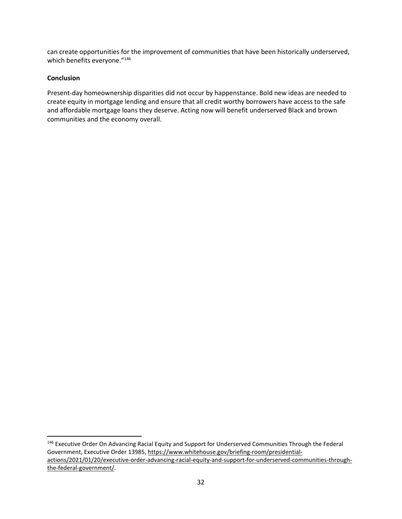can create opportunities for the improvement of communities that have been historically underserved, which benefits everyone."<sup>146</sup>

#### **Conclusion**

Present-day homeownership disparities did not occur by happenstance. Bold new ideas are needed to create equity in mortgage lending and ensure that all credit worthy borrowers have access to the safe and affordable mortgage loans they deserve. Acting now will benefit underserved Black and brown communities and the economy overall.

<sup>&</sup>lt;sup>146</sup> Executive Order On Advancing Racial Equity and Support for Underserved Communities Through the Federal Government, Executive Order 13985, [https://www.whitehouse.gov/briefing-room/presidential](https://www.whitehouse.gov/briefing-room/presidential-actions/2021/01/20/executive-order-advancing-racial-equity-and-support-for-underserved-communities-through-the-federal-government/)[actions/2021/01/20/executive-order-advancing-racial-equity-and-support-for-underserved-communities-through](https://www.whitehouse.gov/briefing-room/presidential-actions/2021/01/20/executive-order-advancing-racial-equity-and-support-for-underserved-communities-through-the-federal-government/)[the-federal-government/.](https://www.whitehouse.gov/briefing-room/presidential-actions/2021/01/20/executive-order-advancing-racial-equity-and-support-for-underserved-communities-through-the-federal-government/)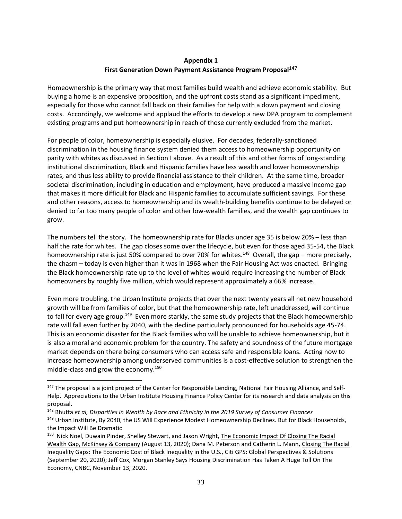## **Appendix 1 First Generation Down Payment Assistance Program Proposal**<sup>147</sup>

Homeownership is the primary way that most families build wealth and achieve economic stability. But buying a home is an expensive proposition, and the upfront costs stand as a significant impediment, especially for those who cannot fall back on their families for help with a down payment and closing costs. Accordingly, we welcome and applaud the efforts to develop a new DPA program to complement existing programs and put homeownership in reach of those currently excluded from the market.

For people of color, homeownership is especially elusive. For decades, federally-sanctioned discrimination in the housing finance system denied them access to homeownership opportunity on parity with whites as discussed in Section I above. As a result of this and other forms of long-standing institutional discrimination, Black and Hispanic families have less wealth and lower homeownership rates, and thus less ability to provide financial assistance to their children. At the same time, broader societal discrimination, including in education and employment, have produced a massive income gap that makes it more difficult for Black and Hispanic families to accumulate sufficient savings. For these and other reasons, access to homeownership and its wealth-building benefits continue to be delayed or denied to far too many people of color and other low-wealth families, and the wealth gap continues to grow.

The numbers tell the story. The homeownership rate for Blacks under age 35 is below 20% – less than half the rate for whites. The gap closes some over the lifecycle, but even for those aged 35-54, the Black homeownership rate is just 50% compared to over 70% for whites.<sup>148</sup> Overall, the gap – more precisely, the chasm – today is even higher than it was in 1968 when the Fair Housing Act was enacted. Bringing the Black homeownership rate up to the level of whites would require increasing the number of Black homeowners by roughly five million, which would represent approximately a 66% increase.

Even more troubling, the Urban Institute projects that over the next twenty years all net new household growth will be from families of color, but that the homeownership rate, left unaddressed, will continue to fall for every age group.<sup>149</sup> Even more starkly, the same study projects that the Black homeownership rate will fall even further by 2040, with the decline particularly pronounced for households age 45-74. This is an economic disaster for the Black families who will be unable to achieve homeownership, but it is also a moral and economic problem for the country. The safety and soundness of the future mortgage market depends on there being consumers who can access safe and responsible loans. Acting now to increase homeownership among underserved communities is a cost-effective solution to strengthen the middle-class and grow the economy. 150

<sup>&</sup>lt;sup>147</sup> The proposal is a joint project of the Center for Responsible Lending, National Fair Housing Alliance, and Self-Help. Appreciations to the Urban Institute Housing Finance Policy Center for its research and data analysis on this proposal.

<sup>148</sup> Bhutta *et al[, Disparities in Wealth by Race and Ethnicity in the 2019 Survey of Consumer Finances](https://www.federalreserve.gov/econres/notes/feds-notes/disparities-in-wealth-by-race-and-ethnicity-in-the-2019-survey-of-consumer-finances-20200928.htm)* <sup>149</sup> Urban Institute, By 2040, the US Will Experience Modest Homeownership Declines. But for Black Households, [the Impact Will Be Dramatic](https://www.urban.org/urban-wire/2040-us-will-experience-modest-homeownership-declines-black-households-impact-will-be-dramatic)

<sup>&</sup>lt;sup>150</sup> Nick Noel, Duwain Pinder, Shelley Stewart, and Jason Wright, [The Economic Impact Of](https://www.mckinsey.com/industries/public-and-social-sector/our-insights/the-economic-impact-of-closing-the-racial-wealth-gap) Closing The Racial [Wealth Gap, McKinsey & Company](https://www.mckinsey.com/industries/public-and-social-sector/our-insights/the-economic-impact-of-closing-the-racial-wealth-gap) (August 13, 2020); Dana M. Peterson and Catherin L. Mann, [Closing The Racial](https://www.citivelocity.com/citigps/closing-the-racial-inequality-gaps/)  [Inequality Gaps: The Economic Cost of Black Inequality in the U.S.,](https://www.citivelocity.com/citigps/closing-the-racial-inequality-gaps/) Citi GPS: Global Perspectives & Solutions (September 20, 2020); Jeff Cox[, Morgan Stanley Says Housing Discrimination Has Taken A Huge Toll On The](https://www.cnbc.com/2020/11/13/morgan-stanley-says-housing-discrimination-has-taken-a-huge-toll-on-the-economy.html)  [Economy,](https://www.cnbc.com/2020/11/13/morgan-stanley-says-housing-discrimination-has-taken-a-huge-toll-on-the-economy.html) CNBC, November 13, 2020.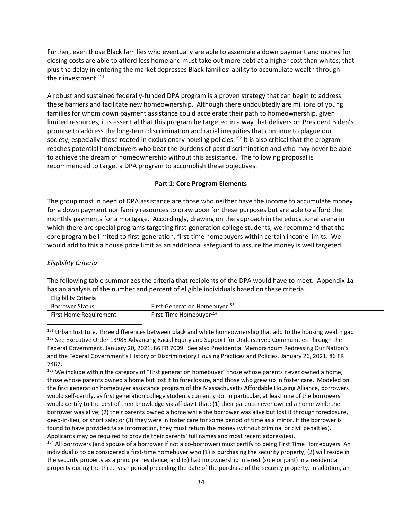Further, even those Black families who eventually are able to assemble a down payment and money for closing costs are able to afford less home and must take out more debt at a higher cost than whites; that plus the delay in entering the market depresses Black families' ability to accumulate wealth through their investment.<sup>151</sup>

A robust and sustained federally-funded DPA program is a proven strategy that can begin to address these barriers and facilitate new homeownership. Although there undoubtedly are millions of young families for whom down payment assistance could accelerate their path to homeownership, given limited resources, it is essential that this program be targeted in a way that delivers on President Biden's promise to address the long-term discrimination and racial inequities that continue to plague our society, especially those rooted in exclusionary housing policies.<sup>152</sup> It is also critical that the program reaches potential homebuyers who bear the burdens of past discrimination and who may never be able to achieve the dream of homeownership without this assistance. The following proposal is recommended to target a DPA program to accomplish these objectives.

#### **Part 1: Core Program Elements**

The group most in need of DPA assistance are those who neither have the income to accumulate money for a down payment nor family resources to draw upon for these purposes but are able to afford the monthly payments for a mortgage. Accordingly, drawing on the approach in the educational arena in which there are special programs targeting first-generation college students, we recommend that the core program be limited to first-generation, first-time homebuyers within certain income limits. We would add to this a house price limit as an additional safeguard to assure the money is well targeted.

### *Eligibility Criteria*

The following table summarizes the criteria that recipients of the DPA would have to meet. Appendix 1a has an analysis of the number and percent of eligible individuals based on these criteria.

| Eligibility Criteria          |                                           |
|-------------------------------|-------------------------------------------|
| <b>Borrower Status</b>        | First-Generation Homebuyer <sup>155</sup> |
| <b>First Home Requirement</b> | First-Time Homebuver <sup>154</sup>       |

<sup>151</sup> Urban Institute[, Three differences between black and white homeownership that add to the housing wealth gap](https://www.urban.org/urban-wire/three-differences-between-black-and-white-homeownership-add-housing-wealth-gap) <sup>152</sup> See Executive Order 13985 Advancing Racial Equity and Support for Underserved Communities Through the [Federal Government.](https://www.federalregister.gov/documents/2021/01/25/2021-01753/advancing-racial-equity-and-support-for-underserved-communities-through-the-federal-government) January 20, 2021. 86 FR 7009. See also [Presidential Memorandum Redressing Our Nation's](https://www.federalregister.gov/documents/2021/01/29/2021-02074/redressing-our-nations-and-the-federal-governments-history-of-discriminatory-housing-practices-and)  [and the Federal Government's History of Discriminatory Housing Practices and Policies](https://www.federalregister.gov/documents/2021/01/29/2021-02074/redressing-our-nations-and-the-federal-governments-history-of-discriminatory-housing-practices-and). January 26, 2021. 86 FR 7487.

<sup>153</sup> We include within the category of "first generation homebuyer" those whose parents never owned a home, those whose parents owned a home but lost it to foreclosure, and those who grew up in foster care. Modeled on the first generation homebuyer assistanc[e program](https://mahahome.org/Enabling-First-Generation-Homeownership-Massachusetts#:~:text=%20Enabling%20First%20Generation%20Homeownership%20in%20Massachusetts%20,for%20Homeownership%20Policies.%20Down-payment%20assistance%20should...%20More) of the Massachusetts Affordable Housing Alliance, borrowers would self-certify, as first generation college students currently do. In particular, at least one of the borrowers would certify to the best of their knowledge via affidavit that: (1) their parents never owned a home while the borrower was alive; (2) their parents owned a home while the borrower was alive but lost it through foreclosure, deed-in-lieu, or short sale; or (3) they were in foster care for some period of time as a minor. If the borrower is found to have provided false information, they must return the money (without criminal or civil penalties). Applicants may be required to provide their parents' full names and most recent address(es).

154 All borrowers (and spouse of a borrower if not a co-borrower) must certify to being First Time Homebuyers. An individual is to be considered a first-time homebuyer who (1) is purchasing the security property; (2) will reside in the security property as a principal residence; and (3) had no ownership interest (sole or joint) in a residential property during the three-year period preceding the date of the purchase of the security property. In addition, an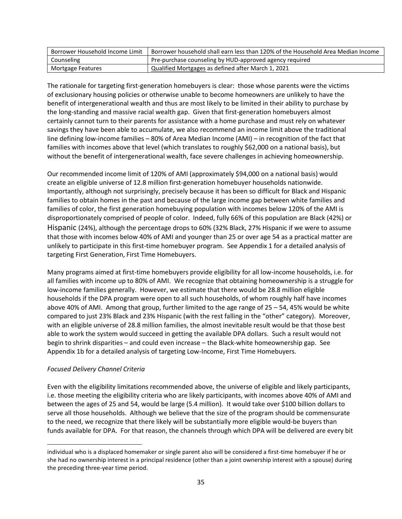| Borrower Household Income Limit | Borrower household shall earn less than 120% of the Household Area Median Income |
|---------------------------------|----------------------------------------------------------------------------------|
| Counseling                      | Pre-purchase counseling by HUD-approved agency required                          |
| Mortgage Features               | Qualified Mortgages as defined after March 1, 2021                               |

The rationale for targeting first-generation homebuyers is clear: those whose parents were the victims of exclusionary housing policies or otherwise unable to become homeowners are unlikely to have the benefit of intergenerational wealth and thus are most likely to be limited in their ability to purchase by the long-standing and massive racial wealth gap. Given that first-generation homebuyers almost certainly cannot turn to their parents for assistance with a home purchase and must rely on whatever savings they have been able to accumulate, we also recommend an income limit above the traditional line defining low-income families – 80% of Area Median Income (AMI) – in recognition of the fact that families with incomes above that level (which translates to roughly \$62,000 on a national basis), but without the benefit of intergenerational wealth, face severe challenges in achieving homeownership.

Our recommended income limit of 120% of AMI (approximately \$94,000 on a national basis) would create an eligible universe of 12.8 million first-generation homebuyer households nationwide. Importantly, although not surprisingly, precisely because it has been so difficult for Black and Hispanic families to obtain homes in the past and because of the large income gap between white families and families of color, the first generation homebuying population with incomes below 120% of the AMI is disproportionately comprised of people of color. Indeed, fully 66% of this population are Black (42%) or Hispanic (24%), although the percentage drops to 60% (32% Black, 27% Hispanic if we were to assume that those with incomes below 40% of AMI and younger than 25 or over age 54 as a practical matter are unlikely to participate in this first-time homebuyer program. See Appendix 1 for a detailed analysis of targeting First Generation, First Time Homebuyers.

Many programs aimed at first-time homebuyers provide eligibility for all low-income households, i.e. for all families with income up to 80% of AMI. We recognize that obtaining homeownership is a struggle for low-income families generally. However, we estimate that there would be 28.8 million eligible households if the DPA program were open to all such households, of whom roughly half have incomes above 40% of AMI. Among that group, further limited to the age range of 25 – 54, 45% would be white compared to just 23% Black and 23% Hispanic (with the rest falling in the "other" category). Moreover, with an eligible universe of 28.8 million families, the almost inevitable result would be that those best able to work the system would succeed in getting the available DPA dollars. Such a result would not begin to shrink disparities – and could even increase – the Black-white homeownership gap. See Appendix 1b for a detailed analysis of targeting Low-Income, First Time Homebuyers.

### *Focused Delivery Channel Criteria*

Even with the eligibility limitations recommended above, the universe of eligible and likely participants, i.e. those meeting the eligibility criteria who are likely participants, with incomes above 40% of AMI and between the ages of 25 and 54, would be large (5.4 million). It would take over \$100 billion dollars to serve all those households. Although we believe that the size of the program should be commensurate to the need, we recognize that there likely will be substantially more eligible would-be buyers than funds available for DPA. For that reason, the channels through which DPA will be delivered are every bit

individual who is a displaced homemaker or single parent also will be considered a first-time homebuyer if he or she had no ownership interest in a principal residence (other than a joint ownership interest with a spouse) during the preceding three-year time period.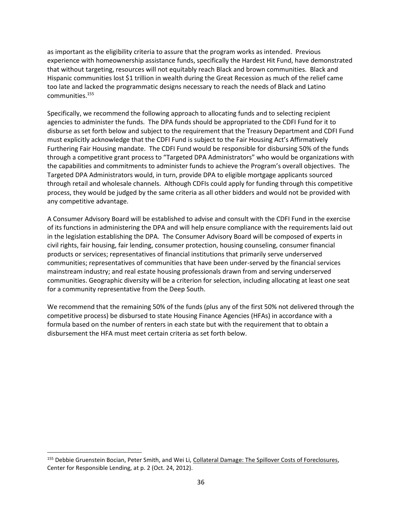as important as the eligibility criteria to assure that the program works as intended. Previous experience with homeownership assistance funds, specifically the Hardest Hit Fund, have demonstrated that without targeting, resources will not equitably reach Black and brown communities. Black and Hispanic communities lost \$1 trillion in wealth during the Great Recession as much of the relief came too late and lacked the programmatic designs necessary to reach the needs of Black and Latino communities.<sup>155</sup>

Specifically, we recommend the following approach to allocating funds and to selecting recipient agencies to administer the funds. The DPA funds should be appropriated to the CDFI Fund for it to disburse as set forth below and subject to the requirement that the Treasury Department and CDFI Fund must explicitly acknowledge that the CDFI Fund is subject to the Fair Housing Act's Affirmatively Furthering Fair Housing mandate. The CDFI Fund would be responsible for disbursing 50% of the funds through a competitive grant process to "Targeted DPA Administrators" who would be organizations with the capabilities and commitments to administer funds to achieve the Program's overall objectives. The Targeted DPA Administrators would, in turn, provide DPA to eligible mortgage applicants sourced through retail and wholesale channels. Although CDFIs could apply for funding through this competitive process, they would be judged by the same criteria as all other bidders and would not be provided with any competitive advantage.

A Consumer Advisory Board will be established to advise and consult with the CDFI Fund in the exercise of its functions in administering the DPA and will help ensure compliance with the requirements laid out in the legislation establishing the DPA. The Consumer Advisory Board will be composed of experts in civil rights, fair housing, fair lending, consumer protection, housing counseling, consumer financial products or services; representatives of financial institutions that primarily serve underserved communities; representatives of communities that have been under-served by the financial services mainstream industry; and real estate housing professionals drawn from and serving underserved communities. Geographic diversity will be a criterion for selection, including allocating at least one seat for a community representative from the Deep South.

We recommend that the remaining 50% of the funds (plus any of the first 50% not delivered through the competitive process) be disbursed to state Housing Finance Agencies (HFAs) in accordance with a formula based on the number of renters in each state but with the requirement that to obtain a disbursement the HFA must meet certain criteria as set forth below.

<sup>155</sup> Debbie Gruenstein Bocian, Peter Smith, and Wei Li, [Collateral Damage: The Spillover Costs of Foreclosures,](https://www.responsiblelending.org/mortgage-lending/research-analysis/collateral-damage.pdf) Center for Responsible Lending, at p. 2 (Oct. 24, 2012).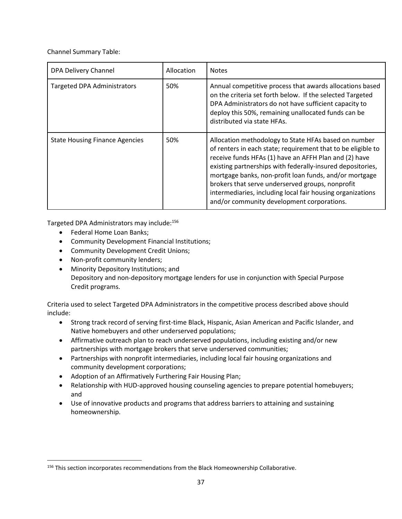Channel Summary Table:

| DPA Delivery Channel                  | Allocation | <b>Notes</b>                                                                                                                                                                                                                                                                                                                                                                                                                                                          |
|---------------------------------------|------------|-----------------------------------------------------------------------------------------------------------------------------------------------------------------------------------------------------------------------------------------------------------------------------------------------------------------------------------------------------------------------------------------------------------------------------------------------------------------------|
| <b>Targeted DPA Administrators</b>    | 50%        | Annual competitive process that awards allocations based<br>on the criteria set forth below. If the selected Targeted<br>DPA Administrators do not have sufficient capacity to<br>deploy this 50%, remaining unallocated funds can be<br>distributed via state HFAs.                                                                                                                                                                                                  |
| <b>State Housing Finance Agencies</b> | 50%        | Allocation methodology to State HFAs based on number<br>of renters in each state; requirement that to be eligible to<br>receive funds HFAs (1) have an AFFH Plan and (2) have<br>existing partnerships with federally-insured depositories,<br>mortgage banks, non-profit loan funds, and/or mortgage<br>brokers that serve underserved groups, nonprofit<br>intermediaries, including local fair housing organizations<br>and/or community development corporations. |

Targeted DPA Administrators may include:<sup>156</sup>

- Federal Home Loan Banks;
- Community Development Financial Institutions;
- Community Development Credit Unions;
- Non-profit community lenders;
- Minority Depository Institutions; and Depository and non-depository mortgage lenders for use in conjunction with Special Purpose Credit programs.

Criteria used to select Targeted DPA Administrators in the competitive process described above should include:

- Strong track record of serving first-time Black, Hispanic, Asian American and Pacific Islander, and Native homebuyers and other underserved populations;
- Affirmative outreach plan to reach underserved populations, including existing and/or new partnerships with mortgage brokers that serve underserved communities;
- Partnerships with nonprofit intermediaries, including local fair housing organizations and community development corporations;
- Adoption of an Affirmatively Furthering Fair Housing Plan;
- Relationship with HUD-approved housing counseling agencies to prepare potential homebuyers; and
- Use of innovative products and programs that address barriers to attaining and sustaining homeownership.

<sup>156</sup> This section incorporates recommendations from the Black Homeownership Collaborative.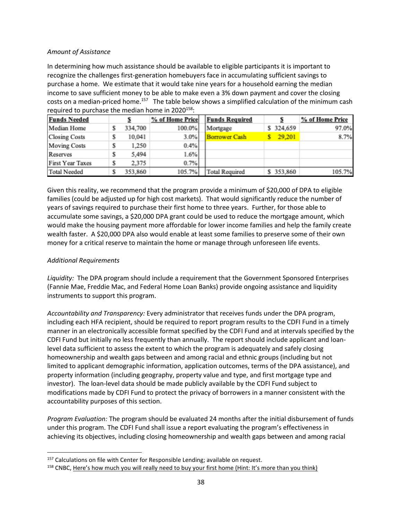### *Amount of Assistance*

In determining how much assistance should be available to eligible participants it is important to recognize the challenges first-generation homebuyers face in accumulating sufficient savings to purchase a home. We estimate that it would take nine years for a household earning the median income to save sufficient money to be able to make even a 3% down payment and cover the closing costs on a median-priced home.<sup>157</sup> The table below shows a simplified calculation of the minimum cash required to purchase the median home in  $2020^{158}$ :

| <b>Funds Needed</b>     |   |         | % of Home Price |  | <b>Funds Required</b> |           | % of Home Price |  |
|-------------------------|---|---------|-----------------|--|-----------------------|-----------|-----------------|--|
| Median Home             | s | 334,700 | 100.0%          |  | Mortgage              | \$324,659 | 97.0%           |  |
| <b>Closing Costs</b>    | s | 10.041  | 3.0%            |  | <b>Borrower Cash</b>  | 29.201    | 8.7%            |  |
| <b>Moving Costs</b>     | s | 1,250   | 0.4%            |  |                       |           |                 |  |
| Reserves                | s | 5,494   | 1.6%            |  |                       |           |                 |  |
| <b>First Year Taxes</b> |   | 2.375   | 0.7%            |  |                       |           |                 |  |
| <b>Total Needed</b>     |   | 353.860 | 105.7%          |  | <b>Total Required</b> | \$353,860 | 105.7%          |  |

Given this reality, we recommend that the program provide a minimum of \$20,000 of DPA to eligible families (could be adjusted up for high cost markets). That would significantly reduce the number of years of savings required to purchase their first home to three years. Further, for those able to accumulate some savings, a \$20,000 DPA grant could be used to reduce the mortgage amount, which would make the housing payment more affordable for lower income families and help the family create wealth faster. A \$20,000 DPA also would enable at least some families to preserve some of their own money for a critical reserve to maintain the home or manage through unforeseen life events.

### *Additional Requirements*

*Liquidity:* The DPA program should include a requirement that the Government Sponsored Enterprises (Fannie Mae, Freddie Mac, and Federal Home Loan Banks) provide ongoing assistance and liquidity instruments to support this program.

*Accountability and Transparency:* Every administrator that receives funds under the DPA program, including each HFA recipient, should be required to report program results to the CDFI Fund in a timely manner in an electronically accessible format specified by the CDFI Fund and at intervals specified by the CDFI Fund but initially no less frequently than annually. The report should include applicant and loanlevel data sufficient to assess the extent to which the program is adequately and safely closing homeownership and wealth gaps between and among racial and ethnic groups (including but not limited to applicant demographic information, application outcomes, terms of the DPA assistance), and property information (including geography, property value and type, and first mortgage type and investor). The loan-level data should be made publicly available by the CDFI Fund subject to modifications made by CDFI Fund to protect the privacy of borrowers in a manner consistent with the accountability purposes of this section.

*Program Evaluation:* The program should be evaluated 24 months after the initial disbursement of funds under this program. The CDFI Fund shall issue a report evaluating the program's effectiveness in achieving its objectives, including closing homeownership and wealth gaps between and among racial

 $157$  Calculations on file with Center for Responsible Lending; available on request.

<sup>&</sup>lt;sup>158</sup> CNBC, [Here's how much you will really need to buy your first home \(Hint: It's more than you think\)](https://www.cnbc.com/2020/06/22/heres-how-much-money-youll-really-need-to-buy-your-first-home.html)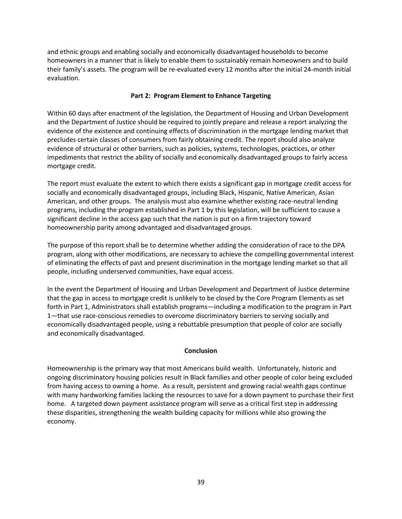and ethnic groups and enabling socially and economically disadvantaged households to become homeowners in a manner that is likely to enable them to sustainably remain homeowners and to build their family's assets. The program will be re-evaluated every 12 months after the initial 24-month initial evaluation.

### **Part 2: Program Element to Enhance Targeting**

Within 60 days after enactment of the legislation, the Department of Housing and Urban Development and the Department of Justice should be required to jointly prepare and release a report analyzing the evidence of the existence and continuing effects of discrimination in the mortgage lending market that precludes certain classes of consumers from fairly obtaining credit. The report should also analyze evidence of structural or other barriers, such as policies, systems, technologies, practices, or other impediments that restrict the ability of socially and economically disadvantaged groups to fairly access mortgage credit.

The report must evaluate the extent to which there exists a significant gap in mortgage credit access for socially and economically disadvantaged groups, including Black, Hispanic, Native American, Asian American, and other groups. The analysis must also examine whether existing race-neutral lending programs, including the program established in Part 1 by this legislation, will be sufficient to cause a significant decline in the access gap such that the nation is put on a firm trajectory toward homeownership parity among advantaged and disadvantaged groups.

The purpose of this report shall be to determine whether adding the consideration of race to the DPA program, along with other modifications, are necessary to achieve the compelling governmental interest of eliminating the effects of past and present discrimination in the mortgage lending market so that all people, including underserved communities, have equal access.

In the event the Department of Housing and Urban Development and Department of Justice determine that the gap in access to mortgage credit is unlikely to be closed by the Core Program Elements as set forth in Part 1, Administrators shall establish programs—including a modification to the program in Part 1—that use race-conscious remedies to overcome discriminatory barriers to serving socially and economically disadvantaged people, using a rebuttable presumption that people of color are socially and economically disadvantaged.

#### **Conclusion**

Homeownership is the primary way that most Americans build wealth. Unfortunately, historic and ongoing discriminatory housing policies result in Black families and other people of color being excluded from having access to owning a home. As a result, persistent and growing racial wealth gaps continue with many hardworking families lacking the resources to save for a down payment to purchase their first home. A targeted down payment assistance program will serve as a critical first step in addressing these disparities, strengthening the wealth building capacity for millions while also growing the economy.